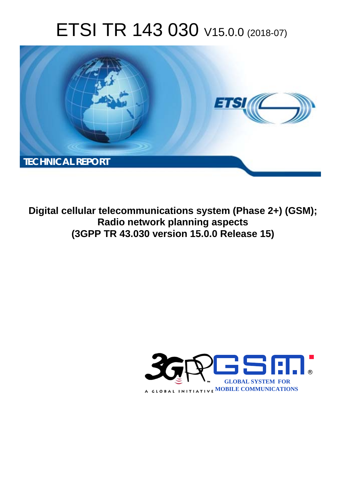# ETSI TR 143 030 V15.0.0 (2018-07)



**Digital cellular telecommunications system (Phase 2+) (GSM); Radio network planning aspects (3GPP TR 43.030 version 15.0.0 Release 15)** 

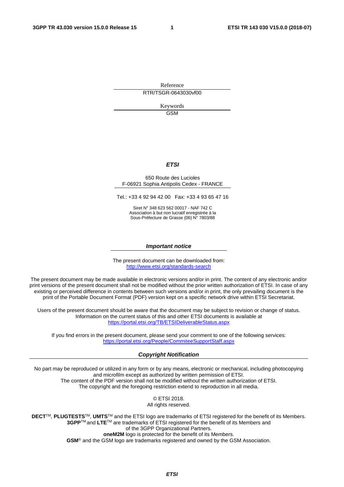Reference RTR/TSGR-0643030vf00

> Keywords GSM

#### *ETSI*

#### 650 Route des Lucioles F-06921 Sophia Antipolis Cedex - FRANCE

Tel.: +33 4 92 94 42 00 Fax: +33 4 93 65 47 16

Siret N° 348 623 562 00017 - NAF 742 C Association à but non lucratif enregistrée à la Sous-Préfecture de Grasse (06) N° 7803/88

#### *Important notice*

The present document can be downloaded from: <http://www.etsi.org/standards-search>

The present document may be made available in electronic versions and/or in print. The content of any electronic and/or print versions of the present document shall not be modified without the prior written authorization of ETSI. In case of any existing or perceived difference in contents between such versions and/or in print, the only prevailing document is the print of the Portable Document Format (PDF) version kept on a specific network drive within ETSI Secretariat.

Users of the present document should be aware that the document may be subject to revision or change of status. Information on the current status of this and other ETSI documents is available at <https://portal.etsi.org/TB/ETSIDeliverableStatus.aspx>

If you find errors in the present document, please send your comment to one of the following services: <https://portal.etsi.org/People/CommiteeSupportStaff.aspx>

#### *Copyright Notification*

No part may be reproduced or utilized in any form or by any means, electronic or mechanical, including photocopying and microfilm except as authorized by written permission of ETSI. The content of the PDF version shall not be modified without the written authorization of ETSI. The copyright and the foregoing restriction extend to reproduction in all media.

> © ETSI 2018. All rights reserved.

**DECT**TM, **PLUGTESTS**TM, **UMTS**TM and the ETSI logo are trademarks of ETSI registered for the benefit of its Members. **3GPP**TM and **LTE**TM are trademarks of ETSI registered for the benefit of its Members and of the 3GPP Organizational Partners. **oneM2M** logo is protected for the benefit of its Members.

**GSM**® and the GSM logo are trademarks registered and owned by the GSM Association.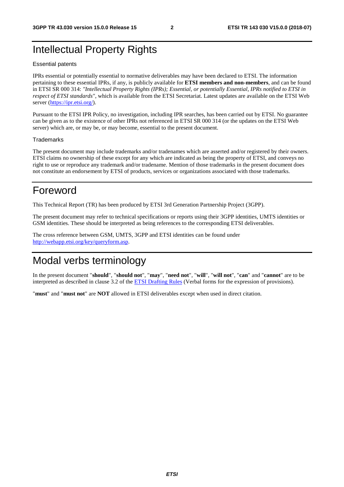## Intellectual Property Rights

#### Essential patents

IPRs essential or potentially essential to normative deliverables may have been declared to ETSI. The information pertaining to these essential IPRs, if any, is publicly available for **ETSI members and non-members**, and can be found in ETSI SR 000 314: *"Intellectual Property Rights (IPRs); Essential, or potentially Essential, IPRs notified to ETSI in respect of ETSI standards"*, which is available from the ETSI Secretariat. Latest updates are available on the ETSI Web server ([https://ipr.etsi.org/\)](https://ipr.etsi.org/).

Pursuant to the ETSI IPR Policy, no investigation, including IPR searches, has been carried out by ETSI. No guarantee can be given as to the existence of other IPRs not referenced in ETSI SR 000 314 (or the updates on the ETSI Web server) which are, or may be, or may become, essential to the present document.

#### **Trademarks**

The present document may include trademarks and/or tradenames which are asserted and/or registered by their owners. ETSI claims no ownership of these except for any which are indicated as being the property of ETSI, and conveys no right to use or reproduce any trademark and/or tradename. Mention of those trademarks in the present document does not constitute an endorsement by ETSI of products, services or organizations associated with those trademarks.

## Foreword

This Technical Report (TR) has been produced by ETSI 3rd Generation Partnership Project (3GPP).

The present document may refer to technical specifications or reports using their 3GPP identities, UMTS identities or GSM identities. These should be interpreted as being references to the corresponding ETSI deliverables.

The cross reference between GSM, UMTS, 3GPP and ETSI identities can be found under [http://webapp.etsi.org/key/queryform.asp.](http://webapp.etsi.org/key/queryform.asp)

## Modal verbs terminology

In the present document "**should**", "**should not**", "**may**", "**need not**", "**will**", "**will not**", "**can**" and "**cannot**" are to be interpreted as described in clause 3.2 of the [ETSI Drafting Rules](https://portal.etsi.org/Services/editHelp!/Howtostart/ETSIDraftingRules.aspx) (Verbal forms for the expression of provisions).

"**must**" and "**must not**" are **NOT** allowed in ETSI deliverables except when used in direct citation.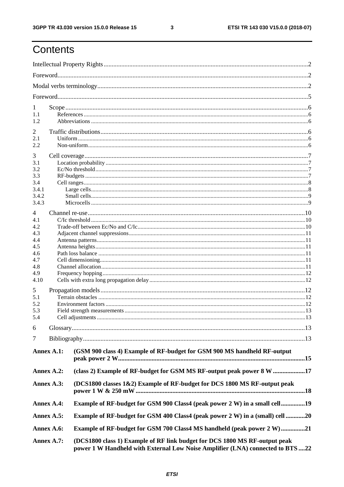$\mathbf{3}$ 

## Contents

| 1          |            |                                                                                                                                                             |  |  |  |  |
|------------|------------|-------------------------------------------------------------------------------------------------------------------------------------------------------------|--|--|--|--|
| 1.1        |            |                                                                                                                                                             |  |  |  |  |
| 1.2        |            |                                                                                                                                                             |  |  |  |  |
| 2          |            |                                                                                                                                                             |  |  |  |  |
| 2.1        |            |                                                                                                                                                             |  |  |  |  |
| 2.2        |            |                                                                                                                                                             |  |  |  |  |
| 3          |            |                                                                                                                                                             |  |  |  |  |
| 3.1        |            |                                                                                                                                                             |  |  |  |  |
| 3.2        |            |                                                                                                                                                             |  |  |  |  |
| 3.3<br>3.4 |            |                                                                                                                                                             |  |  |  |  |
| 3.4.1      |            |                                                                                                                                                             |  |  |  |  |
| 3.4.2      |            |                                                                                                                                                             |  |  |  |  |
| 3.4.3      |            |                                                                                                                                                             |  |  |  |  |
| 4          |            |                                                                                                                                                             |  |  |  |  |
| 4.1        |            |                                                                                                                                                             |  |  |  |  |
| 4.2        |            |                                                                                                                                                             |  |  |  |  |
| 4.3        |            |                                                                                                                                                             |  |  |  |  |
| 4.4<br>4.5 |            |                                                                                                                                                             |  |  |  |  |
| 4.6        |            |                                                                                                                                                             |  |  |  |  |
| 4.7        |            |                                                                                                                                                             |  |  |  |  |
| 4.8        |            |                                                                                                                                                             |  |  |  |  |
| 4.9        |            |                                                                                                                                                             |  |  |  |  |
| 4.10       |            |                                                                                                                                                             |  |  |  |  |
| 5          |            |                                                                                                                                                             |  |  |  |  |
| 5.1        |            |                                                                                                                                                             |  |  |  |  |
| 5.2        |            |                                                                                                                                                             |  |  |  |  |
| 5.3<br>5.4 |            | Cell adjustments.                                                                                                                                           |  |  |  |  |
|            |            |                                                                                                                                                             |  |  |  |  |
| 6          |            |                                                                                                                                                             |  |  |  |  |
| 7          |            |                                                                                                                                                             |  |  |  |  |
|            | Annex A.1: | (GSM 900 class 4) Example of RF-budget for GSM 900 MS handheld RF-output                                                                                    |  |  |  |  |
| Annex A.2: |            | (class 2) Example of RF-budget for GSM MS RF-output peak power 8 W 17                                                                                       |  |  |  |  |
| Annex A.3: |            | (DCS1800 classes 1&2) Example of RF-budget for DCS 1800 MS RF-output peak                                                                                   |  |  |  |  |
| Annex A.4: |            | Example of RF-budget for GSM 900 Class4 (peak power 2 W) in a small cell19                                                                                  |  |  |  |  |
| Annex A.5: |            | Example of RF-budget for GSM 400 Class4 (peak power 2 W) in a (small) cell 20                                                                               |  |  |  |  |
| Annex A.6: |            | <b>Example of RF-budget for GSM 700 Class4 MS handheld (peak power 2 W)21</b>                                                                               |  |  |  |  |
| Annex A.7: |            | (DCS1800 class 1) Example of RF link budget for DCS 1800 MS RF-output peak<br>power 1 W Handheld with External Low Noise Amplifier (LNA) connected to BTS22 |  |  |  |  |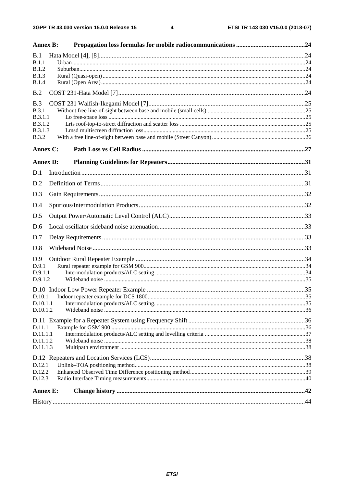| <b>Annex B:</b>      |  |
|----------------------|--|
| B.1<br>B.1.1         |  |
| <b>B.1.2</b>         |  |
| <b>B.1.3</b>         |  |
| <b>B.1.4</b>         |  |
| B.2                  |  |
| B.3                  |  |
| <b>B.3.1</b>         |  |
| B.3.1.1              |  |
| B.3.1.2              |  |
| B.3.1.3              |  |
| <b>B.3.2</b>         |  |
| Annex C:             |  |
| <b>Annex D:</b>      |  |
| D.1                  |  |
| D.2                  |  |
| D.3                  |  |
| D.4                  |  |
| D.5                  |  |
| D.6                  |  |
| D.7                  |  |
| D.8                  |  |
| D.9                  |  |
| D.9.1<br>D.9.1.1     |  |
| D.9.1.2              |  |
|                      |  |
| D.10.1               |  |
| D.10.1.1             |  |
| D.10.1.2             |  |
|                      |  |
| D.11.1               |  |
| D.11.1.1             |  |
| D.11.1.2<br>D.11.1.3 |  |
|                      |  |
| D.12.1               |  |
| D.12.2               |  |
| D.12.3               |  |
| <b>Annex E:</b>      |  |
|                      |  |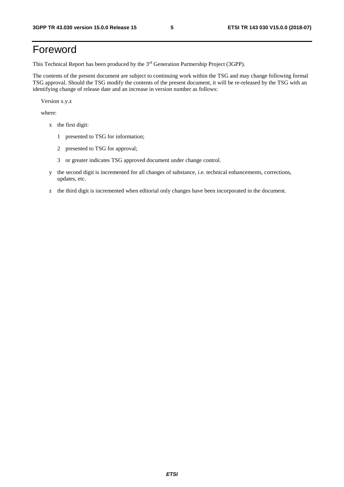## Foreword

This Technical Report has been produced by the 3rd Generation Partnership Project (3GPP).

The contents of the present document are subject to continuing work within the TSG and may change following formal TSG approval. Should the TSG modify the contents of the present document, it will be re-released by the TSG with an identifying change of release date and an increase in version number as follows:

Version x.y.z

where:

- x the first digit:
	- 1 presented to TSG for information;
	- 2 presented to TSG for approval;
	- 3 or greater indicates TSG approved document under change control.
- y the second digit is incremented for all changes of substance, i.e. technical enhancements, corrections, updates, etc.
- z the third digit is incremented when editorial only changes have been incorporated in the document.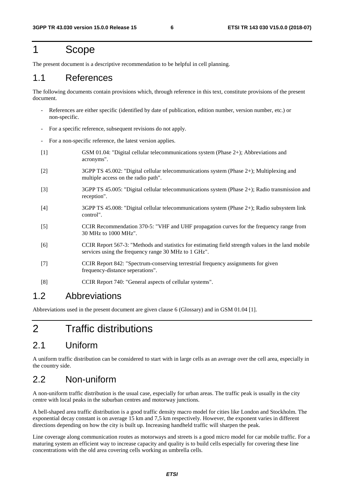## 1 Scope

The present document is a descriptive recommendation to be helpful in cell planning.

### 1.1 References

The following documents contain provisions which, through reference in this text, constitute provisions of the present document.

- References are either specific (identified by date of publication, edition number, version number, etc.) or non-specific.
- For a specific reference, subsequent revisions do not apply.
- For a non-specific reference, the latest version applies.
- [1] GSM 01.04: "Digital cellular telecommunications system (Phase 2+); Abbreviations and acronyms".
- [2] 3GPP TS 45.002: "Digital cellular telecommunications system (Phase 2+); Multiplexing and multiple access on the radio path".
- [3] 3GPP TS 45.005: "Digital cellular telecommunications system (Phase 2+); Radio transmission and reception".
- [4] 3GPP TS 45.008: "Digital cellular telecommunications system (Phase 2+); Radio subsystem link control".
- [5] CCIR Recommendation 370-5: "VHF and UHF propagation curves for the frequency range from 30 MHz to 1000 MHz".
- [6] CCIR Report 567-3: "Methods and statistics for estimating field strength values in the land mobile services using the frequency range 30 MHz to 1 GHz".
- [7] CCIR Report 842: "Spectrum-conserving terrestrial frequency assignments for given frequency-distance seperations".
- [8] CCIR Report 740: "General aspects of cellular systems".

### 1.2 Abbreviations

Abbreviations used in the present document are given clause 6 (Glossary) and in GSM 01.04 [1].

## 2 Traffic distributions

### 2.1 Uniform

A uniform traffic distribution can be considered to start with in large cells as an average over the cell area, especially in the country side.

### 2.2 Non-uniform

A non-uniform traffic distribution is the usual case, especially for urban areas. The traffic peak is usually in the city centre with local peaks in the suburban centres and motorway junctions.

A bell-shaped area traffic distribution is a good traffic density macro model for cities like London and Stockholm. The exponential decay constant is on average 15 km and 7,5 km respectively. However, the exponent varies in different directions depending on how the city is built up. Increasing handheld traffic will sharpen the peak.

Line coverage along communication routes as motorways and streets is a good micro model for car mobile traffic. For a maturing system an efficient way to increase capacity and quality is to build cells especially for covering these line concentrations with the old area covering cells working as umbrella cells.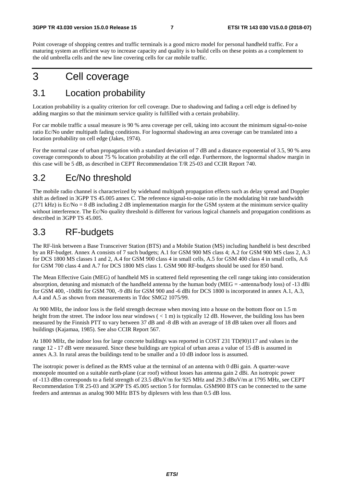Point coverage of shopping centres and traffic terminals is a good micro model for personal handheld traffic. For a maturing system an efficient way to increase capacity and quality is to build cells on these points as a complement to the old umbrella cells and the new line covering cells for car mobile traffic.

## 3 Cell coverage

## 3.1 Location probability

Location probability is a quality criterion for cell coverage. Due to shadowing and fading a cell edge is defined by adding margins so that the minimum service quality is fulfilled with a certain probability.

For car mobile traffic a usual measure is 90 % area coverage per cell, taking into account the minimum signal-to-noise ratio Ec/No under multipath fading conditions. For lognormal shadowing an area coverage can be translated into a location probability on cell edge (Jakes, 1974).

For the normal case of urban propagation with a standard deviation of 7 dB and a distance exponential of 3.5, 90 % area coverage corresponds to about 75 % location probability at the cell edge. Furthermore, the lognormal shadow margin in this case will be 5 dB, as described in CEPT Recommendation T/R 25-03 and CCIR Report 740.

## 3.2 Ec/No threshold

The mobile radio channel is characterized by wideband multipath propagation effects such as delay spread and Doppler shift as defined in 3GPP TS 45.005 annex C. The reference signal-to-noise ratio in the modulating bit rate bandwidth (271 kHz) is  $Ec/No = 8$  dB including 2 dB implementation margin for the GSM system at the minimum service quality without interference. The Ec/No quality threshold is different for various logical channels and propagation conditions as described in 3GPP TS 45.005.

## 3.3 RF-budgets

The RF-link between a Base Transceiver Station (BTS) and a Mobile Station (MS) including handheld is best described by an RF-budget. Annex A consists of 7 such budgets; A.1 for GSM 900 MS class 4; A.2 for GSM 900 MS class 2, A.3 for DCS 1800 MS classes 1 and 2, A.4 for GSM 900 class 4 in small cells, A.5 for GSM 400 class 4 in small cells, A.6 for GSM 700 class 4 and A.7 for DCS 1800 MS class 1. GSM 900 RF-budgets should be used for 850 band.

The Mean Effective Gain (MEG) of handheld MS in scattered field representing the cell range taking into consideration absorption, detuning and mismatch of the handheld antenna by the human body (MEG = -antenna/body loss) of -13 dBi for GSM 400, -10dBi for GSM 700, -9 dBi for GSM 900 and -6 dBi for DCS 1800 is incorporated in annex A.1, A.3, A.4 and A.5 as shown from measurements in Tdoc SMG2 1075/99.

At 900 MHz, the indoor loss is the field strength decrease when moving into a house on the bottom floor on 1.5 m height from the street. The indoor loss near windows  $(< 1 \text{ m})$  is typically 12 dB. However, the building loss has been measured by the Finnish PTT to vary between 37 dB and -8 dB with an average of 18 dB taken over all floors and buildings (Kajamaa, 1985). See also CCIR Report 567.

At 1800 MHz, the indoor loss for large concrete buildings was reported in COST 231 TD(90)117 and values in the range 12 - 17 dB were measured. Since these buildings are typical of urban areas a value of 15 dB is assumed in annex A.3. In rural areas the buildings tend to be smaller and a 10 dB indoor loss is assumed.

The isotropic power is defined as the RMS value at the terminal of an antenna with 0 dBi gain. A quarter-wave monopole mounted on a suitable earth-plane (car roof) without losses has antenna gain 2 dBi. An isotropic power of -113 dBm corresponds to a field strength of 23.5 dBuV/m for 925 MHz and 29.3 dBuV/m at 1795 MHz, see CEPT Recommendation T/R 25-03 and 3GPP TS 45.005 section 5 for formulas. GSM900 BTS can be connected to the same feeders and antennas as analog 900 MHz BTS by diplexers with less than 0.5 dB loss.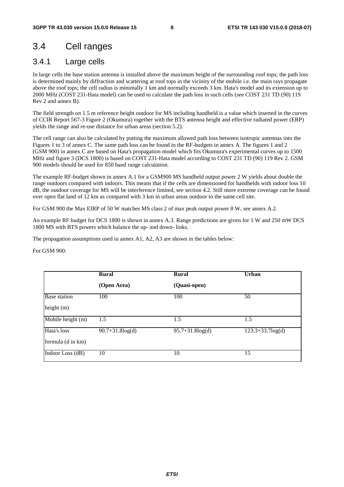## 3.4 Cell ranges

### 3.4.1 Large cells

In large cells the base station antenna is installed above the maximum height of the surrounding roof tops; the path loss is determined mainly by diffraction and scattering at roof tops in the vicinity of the mobile i.e. the main rays propagate above the roof tops; the cell radius is minimally 1 km and normally exceeds 3 km. Hata's model and its extension up to 2000 MHz (COST 231-Hata model) can be used to calculate the path loss in such cells (see COST 231 TD (90) 119 Rev 2 and annex B).

The field strength on 1.5 m reference height outdoor for MS including handheld is a value which inserted in the curves of CCIR Report 567-3 Figure 2 (Okumura) together with the BTS antenna height and effective radiated power (ERP) yields the range and re-use distance for urban areas (section 5.2).

The cell range can also be calculated by putting the maximum allowed path loss between isotropic antennas into the Figures 1 to 3 of annex C. The same path loss can be found in the RF-budgets in annex A. The figures 1 and 2 (GSM 900) in annex C are based on Hata's propagation model which fits Okumura's experimental curves up to 1500 MHz and figure 3 (DCS 1800) is based on COST 231-Hata model according to COST 231 TD (90) 119 Rev 2. GSM 900 models should be used for 850 band range calculation.

The example RF-budget shown in annex A.1 for a GSM900 MS handheld output power 2 W yields about double the range outdoors compared with indoors. This means that if the cells are dimensioned for handhelds with indoor loss 10 dB, the outdoor coverage for MS will be interference limited, see section 4.2. Still more extreme coverage can be found over open flat land of 12 km as compared with 3 km in urban areas outdoor to the same cell site.

For GSM 900 the Max EIRP of 50 W matches MS class 2 of max peak output power 8 W, see annex A.2.

An example RF budget for DCS 1800 is shown in annex A.3. Range predictions are given for 1 W and 250 mW DCS 1800 MS with BTS powers which balance the up- and down- links.

The propagation assumptions used in annex A1, A2, A3 are shown in the tables below:

For GSM 900:

|                     | Rural                 | <b>Rural</b>          | <b>Urban</b>        |
|---------------------|-----------------------|-----------------------|---------------------|
|                     | (Open Area)           | (Quasi-open)          |                     |
| <b>Base</b> station | 100                   | 100                   | 50                  |
| height (m)          |                       |                       |                     |
| Mobile height (m)   | 1.5                   | 1.5                   | 1.5                 |
| Hata's loss         | $90.7 + 31.8 \log(d)$ | $95.7 + 31.8 \log(d)$ | $123.3+33.7\log(d)$ |
| formula (d in km)   |                       |                       |                     |
| Indoor Loss (dB)    | 10                    | 10                    | 15                  |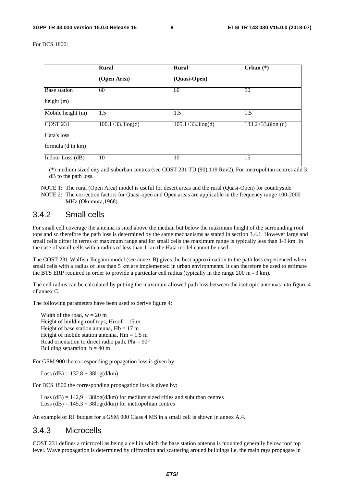For DCS 1800:

|                     | <b>Rural</b>        | <b>Rural</b>           | Urban $(*)$         |
|---------------------|---------------------|------------------------|---------------------|
|                     | (Open Area)         | (Quasi-Open)           |                     |
| <b>Base</b> station | 60                  | 60                     | 50                  |
| height $(m)$        |                     |                        |                     |
| Mobile height (m)   | 1.5                 | 1.5                    | 1.5                 |
| <b>COST 231</b>     | $100.1+33.3\log(d)$ | $105.1 + 33.3 \log(d)$ | $133.2+33.8\log(d)$ |
| Hata's loss         |                     |                        |                     |
| formula (d in km)   |                     |                        |                     |
| Indoor Loss (dB)    | 10                  | 10                     | 15                  |

 (\*) medium sized city and suburban centres (see COST 231 TD (90) 119 Rev2). For metropolitan centres add 3 dB to the path loss.

NOTE 1: The rural (Open Area) model is useful for desert areas and the rural (Quasi-Open) for countryside. NOTE 2: The correction factors for Quasi-open and Open areas are applicable in the frequency range 100-2000 MHz (Okumura,1968).

#### 3.4.2 Small cells

For small cell coverage the antenna is sited above the median but below the maximum height of the surrounding roof tops and so therefore the path loss is determined by the same mechanisms as stated in section 3.4.1. However large and small cells differ in terms of maximum range and for small cells the maximum range is typically less than 1-3 km. In the case of small cells with a radius of less than 1 km the Hata model cannot be used.

The COST 231-Walfish-Ikegami model (see annex B) gives the best approximation to the path loss experienced when small cells with a radius of less than 5 km are implemented in urban environments. It can therefore be used to estimate the BTS ERP required in order to provide a particular cell radius (typically in the range 200 m - 3 km).

The cell radius can be calculated by putting the maximum allowed path loss between the isotropic antennas into figure 4 of annex C.

The following parameters have been used to derive figure 4:

Width of the road,  $w = 20$  m Height of building roof tops, Hroof  $= 15$  m Height of base station antenna,  $Hb = 17$  m Height of mobile station antenna,  $Hm = 1.5$  m Road orientation to direct radio path,  $Phi = 90^\circ$ Building separation,  $b = 40$  m

For GSM 900 the corresponding propagation loss is given by:

Loss (dB) =  $132.8 + 38\log(d/km)$ 

For DCS 1800 the corresponding propagation loss is given by:

Loss  $(dB) = 142.9 + 38\log(d/km)$  for medium sized cities and suburban centres Loss  $(dB) = 145.3 + 38\log(d/km)$  for metropolitan centres

An example of RF budget for a GSM 900 Class 4 MS in a small cell is shown in annex A.4.

#### 3.4.3 Microcells

COST 231 defines a microcell as being a cell in which the base station antenna is mounted generally below roof top level. Wave propagation is determined by diffraction and scattering around buildings i.e. the main rays propagate in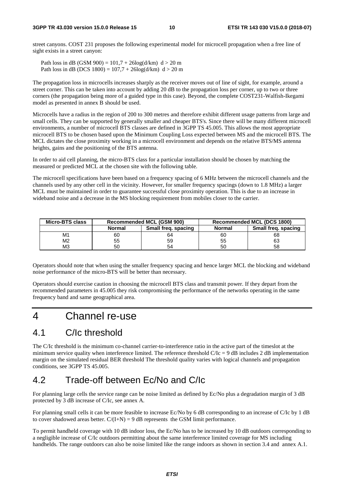street canyons. COST 231 proposes the following experimental model for microcell propagation when a free line of sight exists in a street canyon:

Path loss in dB (GSM 900) =  $101,7 + 26\log(d/km)$  d > 20 m Path loss in dB (DCS 1800) =  $107.7 + 26\log(d/km)$  d > 20 m

The propagation loss in microcells increases sharply as the receiver moves out of line of sight, for example, around a street corner. This can be taken into account by adding 20 dB to the propagation loss per corner, up to two or three corners (the propagation being more of a guided type in this case). Beyond, the complete COST231-Walfish-Ikegami model as presented in annex B should be used.

Microcells have a radius in the region of 200 to 300 metres and therefore exhibit different usage patterns from large and small cells. They can be supported by generally smaller and cheaper BTS's. Since there will be many different microcell environments, a number of microcell BTS classes are defined in 3GPP TS 45.005. This allows the most appropriate microcell BTS to be chosen based upon the Minimum Coupling Loss expected between MS and the microcell BTS. The MCL dictates the close proximity working in a microcell environment and depends on the relative BTS/MS antenna heights, gains and the positioning of the BTS antenna.

In order to aid cell planning, the micro-BTS class for a particular installation should be chosen by matching the measured or predicted MCL at the chosen site with the following table.

The microcell specifications have been based on a frequency spacing of 6 MHz between the microcell channels and the channels used by any other cell in the vicinity. However, for smaller frequency spacings (down to 1.8 MHz) a larger MCL must be maintained in order to guarantee successful close proximity operation. This is due to an increase in wideband noise and a decrease in the MS blocking requirement from mobiles closer to the carrier.

| Micro-BTS class |                                      | <b>Recommended MCL (GSM 900)</b> |               | Recommended MCL (DCS 1800) |
|-----------------|--------------------------------------|----------------------------------|---------------|----------------------------|
|                 | Small freg. spacing<br><b>Normal</b> |                                  | <b>Normal</b> | Small freg. spacing        |
| M1              | 60                                   | 64                               | 60            | 68                         |
| M2              | 55                                   | 59                               | 55            | 63                         |
| MЗ              | 50                                   | 54                               | 50            | 58                         |

Operators should note that when using the smaller frequency spacing and hence larger MCL the blocking and wideband noise performance of the micro-BTS will be better than necessary.

Operators should exercise caution in choosing the microcell BTS class and transmit power. If they depart from the recommended parameters in 45.005 they risk compromising the performance of the networks operating in the same frequency band and same geographical area.

### 4 Channel re-use

## 4.1 C/Ic threshold

The C/Ic threshold is the minimum co-channel carrier-to-interference ratio in the active part of the timeslot at the minimum service quality when interference limited. The reference threshold  $C/C = 9$  dB includes 2 dB implementation margin on the simulated residual BER threshold The threshold quality varies with logical channels and propagation conditions, see 3GPP TS 45.005.

## 4.2 Trade-off between Ec/No and C/Ic

For planning large cells the service range can be noise limited as defined by Ec/No plus a degradation margin of 3 dB protected by 3 dB increase of C/Ic, see annex A.

For planning small cells it can be more feasible to increase Ec/No by 6 dB corresponding to an increase of C/Ic by 1 dB to cover shadowed areas better.  $C/(I+N) = 9$  dB represents the GSM limit performance.

To permit handheld coverage with 10 dB indoor loss, the Ec/No has to be increased by 10 dB outdoors corresponding to a negligible increase of C/Ic outdoors permitting about the same interference limited coverage for MS including handhelds. The range outdoors can also be noise limited like the range indoors as shown in section 3.4 and annex A.1.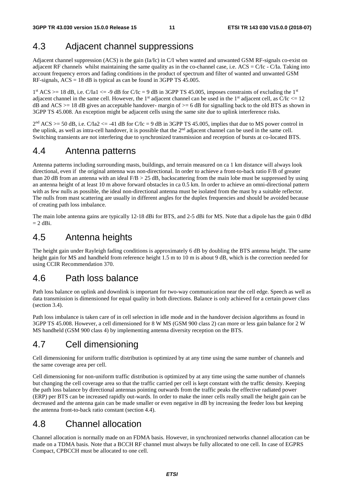## 4.3 Adjacent channel suppressions

Adjacent channel suppression (ACS) is the gain (Ia/Ic) in C/I when wanted and unwanted GSM RF-signals co-exist on adjacent RF channels whilst maintaining the same quality as in the co-channel case, i.e.  $ACS = C/Ic - C/Ia$ . Taking into account frequency errors and fading conditions in the product of spectrum and filter of wanted and unwanted GSM RF-signals, ACS = 18 dB is typical as can be found in 3GPP TS 45.005.

 $1<sup>st</sup> ACS > = 18 dB$ , i.e. C/Ia1 <= -9 dB for C/Ic = 9 dB in 3GPP TS 45.005, imposes constraints of excluding the 1<sup>st</sup> adjacent channel in the same cell. However, the 1<sup>st</sup> adjacent channel can be used in the 1<sup>st</sup> adjacent cell, as  $C/C \le 12$ dB and ACS  $>= 18$  dB gives an acceptable handover- margin of  $>= 6$  dB for signalling back to the old BTS as shown in 3GPP TS 45.008. An exception might be adjacent cells using the same site due to uplink interference risks.

 $2<sup>nd</sup> ACS \ge 50$  dB, i.e. C/Ia2  $\le -41$  dB for C/Ic = 9 dB in 3GPP TS 45.005, implies that due to MS power control in the uplink, as well as intra-cell handover, it is possible that the 2<sup>nd</sup> adjacent channel can be used in the same cell. Switching transients are not interfering due to synchronized transmission and reception of bursts at co-located BTS.

## 4.4 Antenna patterns

Antenna patterns including surrounding masts, buildings, and terrain measured on ca 1 km distance will always look directional, even if the original antenna was non-directional. In order to achieve a front-to-back ratio F/B of greater than 20 dB from an antenna with an ideal  $F/B > 25$  dB, backscattering from the main lobe must be suppressed by using an antenna height of at least 10 m above forward obstacles in ca 0.5 km. In order to achieve an omni-directional pattern with as few nulls as possible, the ideal non-directional antenna must be isolated from the mast by a suitable reflector. The nulls from mast scattering are usually in different angles for the duplex frequencies and should be avoided because of creating path loss imbalance.

The main lobe antenna gains are typically 12-18 dBi for BTS, and 2-5 dBi for MS. Note that a dipole has the gain 0 dBd  $= 2$  dBi.

### 4.5 Antenna heights

The height gain under Rayleigh fading conditions is approximately 6 dB by doubling the BTS antenna height. The same height gain for MS and handheld from reference height 1.5 m to 10 m is about 9 dB, which is the correction needed for using CCIR Recommendation 370.

## 4.6 Path loss balance

Path loss balance on uplink and downlink is important for two-way communication near the cell edge. Speech as well as data transmission is dimensioned for equal quality in both directions. Balance is only achieved for a certain power class (section 3.4).

Path loss imbalance is taken care of in cell selection in idle mode and in the handover decision algorithms as found in 3GPP TS 45.008. However, a cell dimensioned for 8 W MS (GSM 900 class 2) can more or less gain balance for 2 W MS handheld (GSM 900 class 4) by implementing antenna diversity reception on the BTS.

## 4.7 Cell dimensioning

Cell dimensioning for uniform traffic distribution is optimized by at any time using the same number of channels and the same coverage area per cell.

Cell dimensioning for non-uniform traffic distribution is optimized by at any time using the same number of channels but changing the cell coverage area so that the traffic carried per cell is kept constant with the traffic density. Keeping the path loss balance by directional antennas pointing outwards from the traffic peaks the effective radiated power (ERP) per BTS can be increased rapidly out-wards. In order to make the inner cells really small the height gain can be decreased and the antenna gain can be made smaller or even negative in dB by increasing the feeder loss but keeping the antenna front-to-back ratio constant (section 4.4).

## 4.8 Channel allocation

Channel allocation is normally made on an FDMA basis. However, in synchronized networks channel allocation can be made on a TDMA basis. Note that a BCCH RF channel must always be fully allocated to one cell. In case of EGPRS Compact, CPBCCH must be allocated to one cell.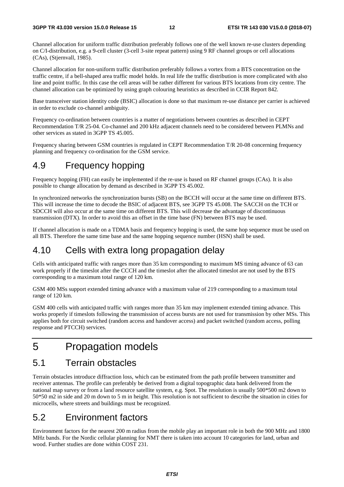Channel allocation for uniform traffic distribution preferably follows one of the well known re-use clusters depending on C/I-distribution, e.g. a 9-cell cluster (3-cell 3-site repeat pattern) using 9 RF channel groups or cell allocations (CAs), (Stjernvall, 1985).

Channel allocation for non-uniform traffic distribution preferably follows a vortex from a BTS concentration on the traffic centre, if a bell-shaped area traffic model holds. In real life the traffic distribution is more complicated with also line and point traffic. In this case the cell areas will be rather different for various BTS locations from city centre. The channel allocation can be optimized by using graph colouring heuristics as described in CCIR Report 842.

Base transceiver station identity code (BSIC) allocation is done so that maximum re-use distance per carrier is achieved in order to exclude co-channel ambiguity.

Frequency co-ordination between countries is a matter of negotiations between countries as described in CEPT Recommendation T/R 25-04. Co-channel and 200 kHz adjacent channels need to be considered between PLMNs and other services as stated in 3GPP TS 45.005.

Frequency sharing between GSM countries is regulated in CEPT Recommendation T/R 20-08 concerning frequency planning and frequency co-ordination for the GSM service.

### 4.9 Frequency hopping

Frequency hopping (FH) can easily be implemented if the re-use is based on RF channel groups (CAs). It is also possible to change allocation by demand as described in 3GPP TS 45.002.

In synchronized networks the synchronization bursts (SB) on the BCCH will occur at the same time on different BTS. This will increase the time to decode the BSIC of adjacent BTS, see 3GPP TS 45.008. The SACCH on the TCH or SDCCH will also occur at the same time on different BTS. This will decrease the advantage of discontinuous transmission (DTX). In order to avoid this an offset in the time base (FN) between BTS may be used.

If channel allocation is made on a TDMA basis and frequency hopping is used, the same hop sequence must be used on all BTS. Therefore the same time base and the same hopping sequence number (HSN) shall be used.

### 4.10 Cells with extra long propagation delay

Cells with anticipated traffic with ranges more than 35 km corresponding to maximum MS timing advance of 63 can work properly if the timeslot after the CCCH and the timeslot after the allocated timeslot are not used by the BTS corresponding to a maximum total range of 120 km.

GSM 400 MSs support extended timing advance with a maximum value of 219 corresponding to a maximum total range of 120 km.

GSM 400 cells with anticipated traffic with ranges more than 35 km may implement extended timing advance. This works properly if timeslots following the transmission of access bursts are not used for transmission by other MSs. This applies both for circuit switched (random access and handover access) and packet switched (random access, polling response and PTCCH) services.

## 5 Propagation models

### 5.1 Terrain obstacles

Terrain obstacles introduce diffraction loss, which can be estimated from the path profile between transmitter and receiver antennas. The profile can preferably be derived from a digital topographic data bank delivered from the national map survey or from a land resource satellite system, e.g. Spot. The resolution is usually 500\*500 m2 down to 50\*50 m2 in side and 20 m down to 5 m in height. This resolution is not sufficient to describe the situation in cities for microcells, where streets and buildings must be recognized.

## 5.2 Environment factors

Environment factors for the nearest 200 m radius from the mobile play an important role in both the 900 MHz and 1800 MHz bands. For the Nordic cellular planning for NMT there is taken into account 10 categories for land, urban and wood. Further studies are done within COST 231.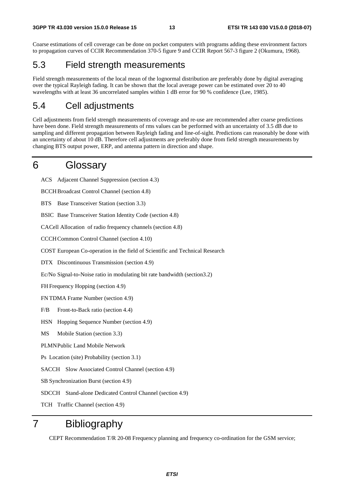Coarse estimations of cell coverage can be done on pocket computers with programs adding these environment factors to propagation curves of CCIR Recommendation 370-5 figure 9 and CCIR Report 567-3 figure 2 (Okumura, 1968).

### 5.3 Field strength measurements

Field strength measurements of the local mean of the lognormal distribution are preferably done by digital averaging over the typical Rayleigh fading. It can be shown that the local average power can be estimated over 20 to 40 wavelengths with at least 36 uncorrelated samples within 1 dB error for 90 % confidence (Lee, 1985).

## 5.4 Cell adjustments

Cell adjustments from field strength measurements of coverage and re-use are recommended after coarse predictions have been done. Field strength measurements of rms values can be performed with an uncertainty of 3.5 dB due to sampling and different propagation between Rayleigh fading and line-of-sight. Predictions can reasonably be done with an uncertainty of about 10 dB. Therefore cell adjustments are preferably done from field strength measurements by changing BTS output power, ERP, and antenna pattern in direction and shape.

## 6 Glossary

ACS Adjacent Channel Suppression (section 4.3)

BCCH Broadcast Control Channel (section 4.8)

BTS Base Transceiver Station (section 3.3)

BSIC Base Transceiver Station Identity Code (section 4.8)

CA Cell Allocation of radio frequency channels (section 4.8)

CCCH Common Control Channel (section 4.10)

COST European Co-operation in the field of Scientific and Technical Research

DTX Discontinuous Transmission (section 4.9)

Ec/No Signal-to-Noise ratio in modulating bit rate bandwidth (section3.2)

FH Frequency Hopping (section 4.9)

FN TDMA Frame Number (section 4.9)

F/B Front-to-Back ratio (section 4.4)

HSN Hopping Sequence Number (section 4.9)

MS Mobile Station (section 3.3)

PLMN Public Land Mobile Network

Ps Location (site) Probability (section 3.1)

SACCH Slow Associated Control Channel (section 4.9)

SB Synchronization Burst (section 4.9)

SDCCH Stand-alone Dedicated Control Channel (section 4.9)

TCH Traffic Channel (section 4.9)

## 7 Bibliography

CEPT Recommendation T/R 20-08 Frequency planning and frequency co-ordination for the GSM service;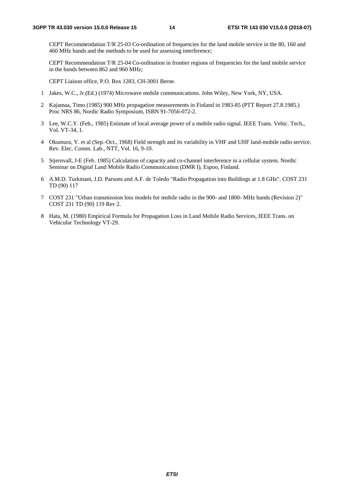CEPT Recommendation T/R 25-03 Co-ordination of frequencies for the land mobile service in the 80, 160 and 460 MHz bands and the methods to be used for assessing interference;

 CEPT Recommendation T/R 25-04 Co-ordination in frontier regions of frequencies for the land mobile service in the bands between 862 and 960 MHz;

CEPT Liaison office, P.O. Box 1283, CH-3001 Berne.

- 1 Jakes, W.C., Jr.(Ed.) (1974) Microwave mobile communications. John Wiley, New York, NY, USA.
- 2 Kajamaa, Timo (1985) 900 MHz propagation measurements in Finland in 1983-85 (PTT Report 27.8.1985.) Proc NRS 86, Nordic Radio Symposium, ISBN 91-7056-072-2.
- 3 Lee, W.C.Y. (Feb., 1985) Estimate of local average power of a mobile radio signal. IEEE Trans. Vehic. Tech., Vol. VT-34, 1.
- 4 Okumura, Y. et al (Sep.-Oct., 1968) Field strength and its variability in VHF and UHF land-mobile radio service. Rev. Elec. Comm. Lab., NTT, Vol. 16, 9-10.
- 5 Stjernvall, J-E (Feb. 1985) Calculation of capacity and co-channel interference in a cellular system. Nordic Seminar on Digital Land Mobile Radio Communication (DMR I), Espoo, Finland.
- 6 A.M.D. Turkmani, J.D. Parsons and A.F. de Toledo "Radio Propagation into Buildings at 1.8 GHz". COST 231 TD (90) 117
- 7 COST 231 "Urban transmission loss models for mobile radio in the 900- and 1800- MHz bands (Revision 2)" COST 231 TD (90) 119 Rev 2.
- 8 Hata, M. (1980) Empirical Formula for Propagation Loss in Land Mobile Radio Services, IEEE Trans. on Vehicular Technology VT-29.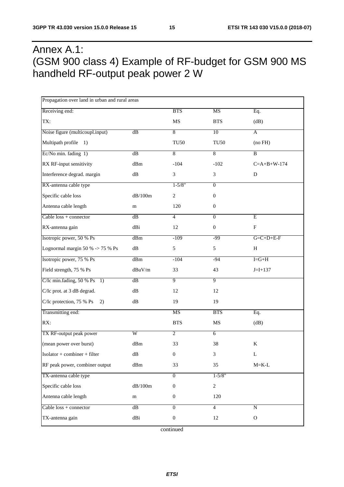## Annex A.1: (GSM 900 class 4) Example of RF-budget for GSM 900 MS handheld RF-output peak power 2 W

| Propagation over land in urban and rural areas |                |                  |                  |                           |
|------------------------------------------------|----------------|------------------|------------------|---------------------------|
| Receiving end:                                 |                | <b>BTS</b>       | <b>MS</b>        | Eq.                       |
| TX:                                            |                | $\rm MS$         | <b>BTS</b>       | (dB)                      |
| Noise figure (multicoupl.input)                | dB             | 8                | 10               | A                         |
| Multipath profile<br>$\left(1\right)$          |                | <b>TU50</b>      | <b>TU50</b>      | (no FH)                   |
| Ec/No min. fading 1)                           | dB             | 8                | 8                | $\overline{B}$            |
| RX RF-input sensitivity                        | dBm            | $-104$           | $-102$           | $C = A + B + W - 174$     |
| Interference degrad. margin                    | ${\rm dB}$     | 3                | 3                | D                         |
| RX-antenna cable type                          |                | $1 - 5/8"$       | $\overline{0}$   |                           |
| Specific cable loss                            | dB/100m        | $\boldsymbol{2}$ | $\boldsymbol{0}$ |                           |
| Antenna cable length                           | m              | 120              | $\boldsymbol{0}$ |                           |
| Cable $loss + connector$                       | dB             | $\overline{4}$   | $\overline{0}$   | Ε                         |
| RX-antenna gain                                | dBi            | $12\,$           | $\boldsymbol{0}$ | $\boldsymbol{\mathrm{F}}$ |
| Isotropic power, 50 % Ps                       | dBm            | $-109$           | $-99$            | $G = C + D + E - F$       |
| Lognormal margin 50 % -> 75 % Ps               | ${\rm dB}$     | 5                | 5                | H                         |
| Isotropic power, 75 % Ps                       | dBm            | $-104$           | $-94$            | $I = G + H$               |
| Field strength, 75 % Ps                        | $dBuV/m$       | 33               | 43               | $J = I + 137$             |
| C/Ic min.fading, 50 % Ps<br>1)                 | $\mathrm{dB}$  | $\overline{9}$   | $\overline{9}$   |                           |
| C/Ic prot. at 3 dB degrad.                     | dB             | 12               | 12               |                           |
| C/Ic protection, 75 % Ps<br>2)                 | dB             | 19               | 19               |                           |
| Transmitting end:                              |                | <b>MS</b>        | <b>BTS</b>       | Eq.                       |
| RX:                                            |                | <b>BTS</b>       | $\rm MS$         | (dB)                      |
| TX RF-output peak power                        | $\overline{W}$ | $\overline{2}$   | $\overline{6}$   |                           |
| (mean power over burst)                        | dBm            | 33               | 38               | K                         |
| $Isolator + combiner + filter$                 | $\mathrm{dB}$  | $\boldsymbol{0}$ | 3                | L                         |
| RF peak power, combiner output                 | dBm            | 33               | 35               | $M = K - L$               |
| TX-antenna cable type                          |                | $\overline{0}$   | $1 - 5/8"$       |                           |
| Specific cable loss                            | $dB/100m$      | $\boldsymbol{0}$ | $\overline{c}$   |                           |
| Antenna cable length                           | m              | $\boldsymbol{0}$ | 120              |                           |
| Cable $loss + connector$                       | dB             | $\overline{0}$   | $\overline{4}$   | ${\bf N}$                 |
| TX-antenna gain                                | dBi            | $\boldsymbol{0}$ | 12               | ${\rm O}$                 |

continued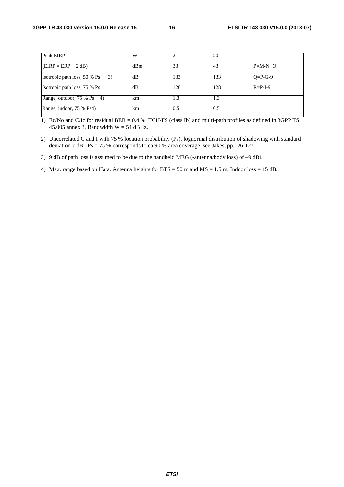| Peak EIRP                                        | W   |     | 20  |                 |
|--------------------------------------------------|-----|-----|-----|-----------------|
| $EIRP = ERP + 2 dB$                              | dBm | 33  | 43  | $P=M-N+O$       |
| Isotropic path loss, 50 % Ps<br>$\left(3\right)$ | dB  | 133 | 133 | $O = P - G - 9$ |
| Isotropic path loss, 75 % Ps                     | dB  | 128 | 128 | $R = P-I-9$     |
| Range, outdoor, 75 % Ps 4)                       | km  | 1.3 | 1.3 |                 |
| Range, indoor, 75 % Ps4)                         | km  | 0.5 | 0.5 |                 |

1) Ec/No and C/Ic for residual BER = 0.4 %, TCH/FS (class Ib) and multi-path profiles as defined in 3GPP TS 45.005 annex 3. Bandwidth  $W = 54$  dBHz.

2) Uncorrelated C and I with 75 % location probability (Ps). lognormal distribution of shadowing with standard deviation 7 dB. Ps = 75 % corresponds to ca 90 % area coverage, see Jakes, pp.126-127.

3) 9 dB of path loss is assumed to be due to the handheld MEG (-antenna/body loss) of –9 dBi.

4) Max. range based on Hata. Antenna heights for BTS = 50 m and MS = 1.5 m. Indoor loss = 15 dB.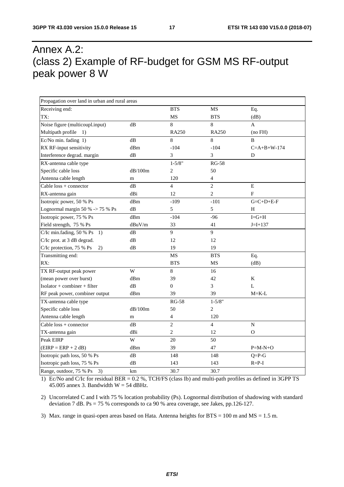## Annex A.2: (class 2) Example of RF-budget for GSM MS RF-output peak power 8 W

| Propagation over land in urban and rural areas |         |                |                |                       |
|------------------------------------------------|---------|----------------|----------------|-----------------------|
| Receiving end:                                 |         | <b>BTS</b>     | <b>MS</b>      | Eq.                   |
| TX:                                            |         | MS             | <b>BTS</b>     | (dB)                  |
| Noise figure (multicoupl.input)                | dB      | 8              | 8              | A                     |
| Multipath profile 1)                           |         | <b>RA250</b>   | <b>RA250</b>   | (no FH)               |
| Ec/No min. fading 1)                           | dB      | 8              | 8              | <sub>R</sub>          |
| RX RF-input sensitivity                        | dBm     | $-104$         | $-104$         | $C = A + B + W - 174$ |
| Interference degrad. margin                    | dB      | 3              | 3              | D                     |
| RX-antenna cable type                          |         | $1 - 5/8"$     | <b>RG-58</b>   |                       |
| Specific cable loss                            | dB/100m | $\mathbf{2}$   | 50             |                       |
| Antenna cable length                           | m       | 120            | $\overline{4}$ |                       |
| Cable $loss + connector$                       | dB      | $\overline{4}$ | $\overline{2}$ | $\mathbf E$           |
| RX-antenna gain                                | dBi     | 12             | $\mathfrak{2}$ | F                     |
| Isotropic power, 50 % Ps                       | dBm     | $-109$         | $-101$         | $G = C + D + E - F$   |
| Lognormal margin 50 % $\sim$ 75 % Ps           | dB      | 5              | 5              | H                     |
| Isotropic power, 75 % Ps                       | dBm     | $-104$         | $-96$          | $I = G + H$           |
| Field strength, 75 % Ps                        | dBuV/m  | 33             | 41             | $J = I + 137$         |
| C/Ic min.fading, 50 % Ps<br>1)                 | dB      | 9              | 9              |                       |
| C/Ic prot. at 3 dB degrad.                     | dB      | 12             | 12             |                       |
| C/Ic protection, 75 % Ps<br>2)                 | dB      | 19             | 19             |                       |
| Transmitting end:                              |         | <b>MS</b>      | <b>BTS</b>     | Eq.                   |
| RX:                                            |         | <b>BTS</b>     | MS             | (dB)                  |
| TX RF-output peak power                        | W       | 8              | 16             |                       |
| (mean power over burst)                        | dBm     | 39             | 42             | K                     |
| Isolator + combiner + filter                   | dB      | $\overline{0}$ | 3              | $\mathbf L$           |
| RF peak power, combiner output                 | dBm     | 39             | 39             | $M = K - L$           |
| TX-antenna cable type                          |         | <b>RG-58</b>   | $1 - 5/8"$     |                       |
| Specific cable loss                            | dB/100m | 50             | 2              |                       |
| Antenna cable length                           | m       | $\overline{4}$ | 120            |                       |
| $Cable loss + connector$                       | dB      | $\overline{c}$ | $\overline{4}$ | N                     |
| TX-antenna gain                                | dBi     | $\overline{c}$ | 12             | 0                     |
| Peak EIRP                                      | W       | 20             | 50             |                       |
| $(EIRP = ERP + 2 dB)$                          | dBm     | 39             | 47             | $P=M-N+O$             |
| Isotropic path loss, 50 % Ps                   | dB      | 148            | 148            | $Q = P - G$           |
| Isotropic path loss, 75 % Ps                   | dB      | 143            | 143            | $R = P-I$             |
| Range, outdoor, 75 % Ps<br>3)                  | km      | 30.7           | 30.7           |                       |

1) Ec/No and C/Ic for residual BER = 0.2 %, TCH/FS (class Ib) and multi-path profiles as defined in 3GPP TS 45.005 annex 3. Bandwidth  $W = 54$  dBHz.

2) Uncorrelated C and I with 75 % location probability (Ps). Lognormal distribution of shadowing with standard deviation 7 dB. Ps = 75 % corresponds to ca 90 % area coverage, see Jakes, pp.126-127.

3) Max. range in quasi-open areas based on Hata. Antenna heights for  $BTS = 100$  m and  $MS = 1.5$  m.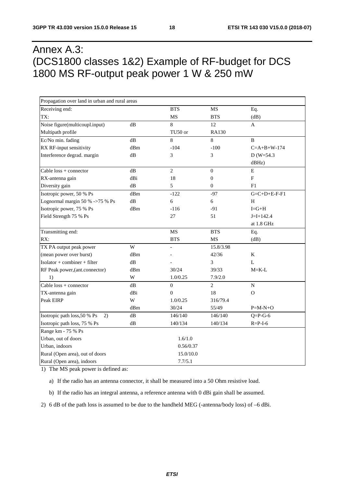## Annex A.3: (DCS1800 classes 1&2) Example of RF-budget for DCS 1800 MS RF-output peak power 1 W & 250 mW

| Propagation over land in urban and rural areas |     |                |                  |                 |
|------------------------------------------------|-----|----------------|------------------|-----------------|
| Receiving end:                                 |     | <b>BTS</b>     | MS               | Eq.             |
| TX:                                            |     | MS             | <b>BTS</b>       | (dB)            |
| Noise figure(multicoupl.input)                 | dB  | 8              | 12               | A               |
| Multipath profile                              |     | TU50 or        | <b>RA130</b>     |                 |
| Ec/No min. fading                              | dB  | 8              | 8                | $\, {\bf B}$    |
| RX RF-input sensitivity                        | dBm | $-104$         | $-100$           | $C=A+B+W-174$   |
| Interference degrad. margin                    | dB  | 3              | 3                | $D(W=54.3)$     |
|                                                |     |                |                  | dBHz)           |
| Cable loss + connector                         | dB  | $\overline{2}$ | $\boldsymbol{0}$ | ${\bf E}$       |
| RX-antenna gain                                | dBi | 18             | $\boldsymbol{0}$ | $\mathbf F$     |
| Diversity gain                                 | dB  | 5              | $\boldsymbol{0}$ | F1              |
| Isotropic power, 50 % Ps                       | dBm | $-122$         | $-97$            | $G=C+D+E-F-F1$  |
| Lognormal margin 50 % ->75 % Ps                | dB  | 6              | 6                | H               |
| Isotropic power, 75 % Ps                       | dBm | $-116$         | $-91$            | $I = G + H$     |
| Field Strength 75 % Ps                         |     | 27             | 51               | $J=I+142.4$     |
|                                                |     |                |                  | at 1.8 GHz      |
| Transmitting end:                              |     | <b>MS</b>      | <b>BTS</b>       | Eq.             |
| RX:                                            |     | <b>BTS</b>     | <b>MS</b>        | (dB)            |
| TX PA output peak power                        | W   |                | 15.8/3.98        |                 |
| (mean power over burst)                        | dBm |                | 42/36            | $\bf K$         |
| $Isolator + combiner + filter$                 | dB  |                | 3                | L               |
| RF Peak power, (ant.connector)                 | dBm | 30/24          | 39/33            | $M=K-L$         |
| 1)                                             | W   | 1.0/0.25       | 7.9/2.0          |                 |
| Cable loss + connector                         | dB  | $\overline{0}$ | $\overline{c}$   | ${\bf N}$       |
| TX-antenna gain                                | dBi | $\overline{0}$ | 18               | $\Omega$        |
| Peak EIRP                                      | W   | 1.0/0.25       | 316/79.4         |                 |
|                                                | dBm | 30/24          | 55/49            | $P=M-N+O$       |
| Isotropic path loss, 50 % Ps<br>2)             | dB  | 146/140        | 146/140          | $Q = P - G - 6$ |
| Isotropic path loss, 75 % Ps                   | dB  | 140/134        | 140/134          | $R = P - I - 6$ |
| Range km - 75 % Ps                             |     |                |                  |                 |
| Urban, out of doors                            |     | 1.6/1.0        |                  |                 |
| Urban, indoors                                 |     | 0.56/0.37      |                  |                 |
| Rural (Open area), out of doors                |     | 15.0/10.0      |                  |                 |
| Rural (Open area), indoors                     |     | 7.7/5.1        |                  |                 |

1) The MS peak power is defined as:

a) If the radio has an antenna connector, it shall be measured into a 50 Ohm resistive load.

b) If the radio has an integral antenna, a reference antenna with 0 dBi gain shall be assumed.

2) 6 dB of the path loss is assumed to be due to the handheld MEG (-antenna/body loss) of –6 dBi.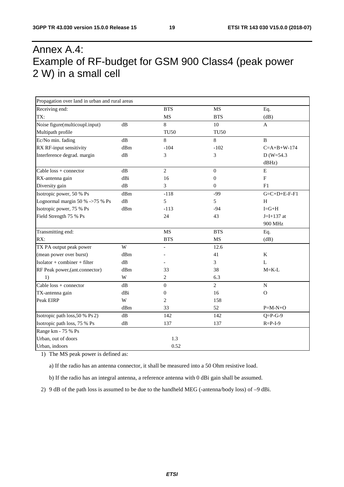## Annex A.4: Example of RF-budget for GSM 900 Class4 (peak power 2 W) in a small cell

| Propagation over land in urban and rural areas |                         |                          |                  |                       |
|------------------------------------------------|-------------------------|--------------------------|------------------|-----------------------|
| Receiving end:                                 |                         | <b>BTS</b>               | <b>MS</b>        | Eq.                   |
| TX:                                            |                         | <b>MS</b>                | <b>BTS</b>       | (dB)                  |
| Noise figure(multicoupl.input)                 | dB                      | 8                        | $10\,$           | $\mathbf{A}$          |
| Multipath profile                              |                         | <b>TU50</b>              | <b>TU50</b>      |                       |
| Ec/No min. fading                              | $\mathrm{dB}$           | 8                        | 8                | $\, {\bf B}$          |
| RX RF-input sensitivity                        | dBm                     | $-104$                   | $-102$           | $C = A + B + W - 174$ |
| Interference degrad. margin                    | dB                      | 3                        | 3                | $D(W=54.3)$           |
|                                                |                         |                          |                  | dBHz)                 |
| Cable $loss + connector$                       | $\mathrm{dB}$           | $\overline{c}$           | $\mathbf{0}$     | E                     |
| RX-antenna gain                                | dBi                     | 16                       | $\boldsymbol{0}$ | $\mathbf F$           |
| Diversity gain                                 | dB                      | 3                        | $\mathbf{0}$     | F1                    |
| Isotropic power, 50 % Ps                       | dBm                     | $-118$                   | $-99$            | $G=C+D+E-F-F1$        |
| Lognormal margin 50 % ->75 % Ps                | dB                      | 5                        | 5                | H                     |
| Isotropic power, 75 % Ps                       | dBm                     | $-113$                   | $-94$            | $I = G + H$           |
| Field Strength 75 % Ps                         |                         | 24                       | 43               | $J = I + 137$ at      |
|                                                |                         |                          |                  | 900 MHz               |
| Transmitting end:                              |                         | <b>MS</b>                | <b>BTS</b>       | Eq.                   |
| RX:                                            |                         | <b>BTS</b>               | <b>MS</b>        | (dB)                  |
| TX PA output peak power                        | W                       | $\overline{\phantom{a}}$ | 12.6             |                       |
| (mean power over burst)                        | dBm                     |                          | 41               | $\rm K$               |
| $Isolator + combiner + filter$                 | dB                      |                          | 3                | L                     |
| RF Peak power, (ant.connector)                 | dBm                     | 33                       | 38               | $M = K-L$             |
| 1)                                             | W                       | 2                        | 6.3              |                       |
| Cable $loss + connector$                       | dB                      | $\boldsymbol{0}$         | $\overline{2}$   | ${\bf N}$             |
| TX-antenna gain                                | dBi                     | $\mathbf{0}$             | 16               | $\Omega$              |
| Peak EIRP                                      | $\ensuremath{\text{W}}$ | $\overline{c}$           | 158              |                       |
|                                                | dBm                     | 33                       | 52               | $P=M-N+O$             |
| Isotropic path loss, 50 % Ps 2)                | dB                      | 142                      | 142              | $Q = P - G - 9$       |
| Isotropic path loss, 75 % Ps                   | dB                      | 137                      | 137              | $R = P - I - 9$       |
| Range km - 75 % Ps                             |                         |                          |                  |                       |
| Urban, out of doors                            |                         | 1.3                      |                  |                       |
| Urban, indoors                                 |                         | 0.52                     |                  |                       |

1) The MS peak power is defined as:

a) If the radio has an antenna connector, it shall be measured into a 50 Ohm resistive load.

b) If the radio has an integral antenna, a reference antenna with 0 dBi gain shall be assumed.

2) 9 dB of the path loss is assumed to be due to the handheld MEG (-antenna/body loss) of –9 dBi.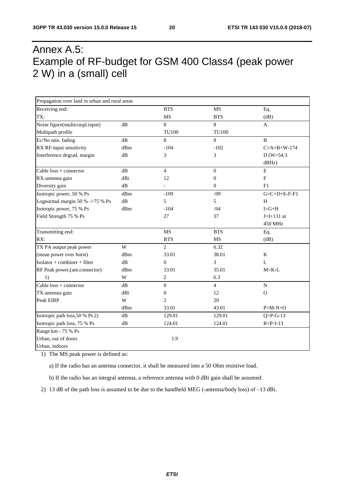## Annex A.5: Example of RF-budget for GSM 400 Class4 (peak power 2 W) in a (small) cell

| Propagation over land in urban and rural areas |               |                          |                  |                       |
|------------------------------------------------|---------------|--------------------------|------------------|-----------------------|
| Receiving end:                                 |               | <b>BTS</b>               | MS               | Eq.                   |
| TX:                                            |               | <b>MS</b>                | <b>BTS</b>       | (dB)                  |
| Noise figure(multicoupl.input)                 | dB            | 8                        | 8                | $\mathbf{A}$          |
| Multipath profile                              |               | <b>TU100</b>             | <b>TU100</b>     |                       |
| Ec/No min. fading                              | dB            | 8                        | 8                | $\mathbf{B}$          |
| RX RF-input sensitivity                        | dBm           | $-104$                   | $-102$           | $C = A + B + W - 174$ |
| Interference degrad. margin                    | dB            | 3                        | 3                | $D(W=54.3)$           |
|                                                |               |                          |                  | dBHz)                 |
| Cable loss + connector                         | dB            | $\overline{4}$           | $\boldsymbol{0}$ | ${\bf E}$             |
| RX-antenna gain                                | dBi           | 12                       | $\boldsymbol{0}$ | $\mathbf F$           |
| Diversity gain                                 | dB            | $\overline{\phantom{a}}$ | $\mathbf{0}$     | F1                    |
| Isotropic power, 50 % Ps                       | dBm           | $-109$                   | $-99$            | $G=C+D+E-F-F1$        |
| Lognormal margin 50 % ->75 % Ps                | $\mathrm{dB}$ | 5                        | 5                | $\rm H$               |
| Isotropic power, 75 % Ps                       | dBm           | $-104$                   | $-94$            | $I = G + H$           |
| Field Strength 75 % Ps                         |               | 27                       | 37               | $J=I+131$ at          |
|                                                |               |                          |                  | 450 MHz               |
| Transmitting end:                              |               | MS                       | <b>BTS</b>       | Eq.                   |
| RX:                                            |               | <b>BTS</b>               | MS               | (dB)                  |
| TX PA output peak power                        | W             | $\overline{c}$           | 6.32             |                       |
| (mean power over burst)                        | dBm           | 33.01                    | 38.01            | K                     |
| $Isolator + combiner + filter$                 | dB            | $\theta$                 | 3                | $\mathbf{L}$          |
| RF Peak power, (ant.connector)                 | dBm           | 33.01                    | 35.01            | $M=K-L$               |
| 1)                                             | W             | 2                        | 6.3              |                       |
| Cable loss + connector                         | dB            | $\Omega$                 | $\overline{4}$   | ${\bf N}$             |
| TX-antenna gain                                | dBi           | $\Omega$                 | 12               | $\Omega$              |
| Peak EIRP                                      | W             | $\overline{c}$           | 20               |                       |
|                                                | dBm           | 33.01                    | 43.01            | $P=M-N+O$             |
| Isotropic path loss, 50 % Ps 2)                | $\mathrm{dB}$ | 129.01                   | 129.01           | $Q = P - G - 13$      |
| Isotropic path loss, 75 % Ps                   | dB            | 124.01                   | 124.01           | $R = P - I - 13$      |
| Range km - 75 % Ps                             |               |                          |                  |                       |
| Urban, out of doors                            |               | 1.9                      |                  |                       |
| Urban, indoors                                 |               |                          |                  |                       |

1) The MS peak power is defined as:

a) If the radio has an antenna connector, it shall be measured into a 50 Ohm resistive load.

b) If the radio has an integral antenna, a reference antenna with 0 dBi gain shall be assumed.

2) 13 dB of the path loss is assumed to be due to the handheld MEG (-antenna/body loss) of –13 dBi.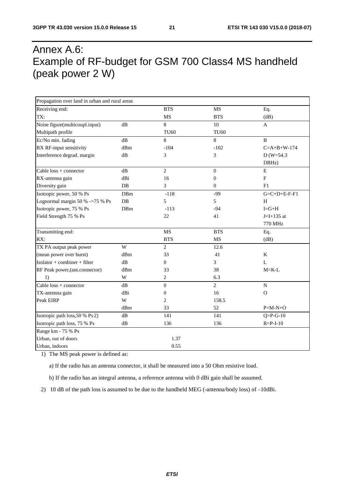## Annex A.6: Example of RF-budget for GSM 700 Class4 MS handheld (peak power 2 W)

| Propagation over land in urban and rural areas |               |                  |                  |                           |
|------------------------------------------------|---------------|------------------|------------------|---------------------------|
| Receiving end:                                 |               | <b>BTS</b>       | MS               | Eq.                       |
| TX:                                            |               | <b>MS</b>        | <b>BTS</b>       | (dB)                      |
| Noise figure(multicoupl.input)                 | dB            | 8                | 10               | $\mathbf{A}$              |
| Multipath profile                              |               | <b>TU60</b>      | <b>TU60</b>      |                           |
| Ec/No min. fading                              | dB            | 8                | 8                | B                         |
| RX RF-input sensitivity                        | dBm           | $-104$           | $-102$           | $C = A + B + W - 174$     |
| Interference degrad. margin                    | dB            | 3                | 3                | $D (W=54.3)$              |
|                                                |               |                  |                  | DBHz)                     |
| Cable $loss + connector$                       | dB            | $\overline{2}$   | $\boldsymbol{0}$ | ${\bf E}$                 |
| RX-antenna gain                                | dBi           | 16               | $\boldsymbol{0}$ | $\boldsymbol{\mathrm{F}}$ |
| Diversity gain                                 | DB            | 3                | $\overline{0}$   | F1                        |
| Isotropic power, 50 % Ps                       | DBm           | $-118$           | $-99$            | $G = C + D + E - F - F$   |
| Lognormal margin 50 % ->75 % Ps                | $DB$          | 5                | 5                | H                         |
| Isotropic power, 75 % Ps                       | DBm           | $-113$           | $-94$            | $I = G + H$               |
| Field Strength 75 % Ps                         |               | 22               | 41               | $J=I+135$ at              |
|                                                |               |                  |                  | 770 MHz                   |
| Transmitting end:                              |               | MS               | <b>BTS</b>       | Eq.                       |
| RX:                                            |               | <b>BTS</b>       | MS               | (dB)                      |
| TX PA output peak power                        | W             | $\overline{c}$   | 12.6             |                           |
| (mean power over burst)                        | dBm           | 33               | 41               | K                         |
| Isolator + combiner + filter                   | dB            | $\boldsymbol{0}$ | 3                | L                         |
| RF Peak power, (ant.connector)                 | dBm           | 33               | 38               | $M = K-L$                 |
| 1)                                             | W             | 2                | 6.3              |                           |
| Cable $loss + connector$                       | dB            | $\overline{0}$   | $\overline{2}$   | ${\bf N}$                 |
| TX-antenna gain                                | dBi           | $\mathbf{0}$     | 16               | $\Omega$                  |
| Peak EIRP                                      | W             | $\overline{2}$   | 158.5            |                           |
|                                                | dBm           | 33               | 52               | $P=M-N+O$                 |
| Isotropic path loss, 50 % Ps 2)                | dB            | 141              | 141              | $Q = P - G - 10$          |
| Isotropic path loss, 75 % Ps                   | $\mathrm{dB}$ | 136              | 136              | $R = P - I - 10$          |
| Range km - 75 % Ps                             |               |                  |                  |                           |
| Urban, out of doors                            |               | 1.37             |                  |                           |
| Urban, indoors                                 |               | 0.55             |                  |                           |

1) The MS peak power is defined as:

a) If the radio has an antenna connector, it shall be measured into a 50 Ohm resistive load.

b) If the radio has an integral antenna, a reference antenna with 0 dBi gain shall be assumed.

2) 10 dB of the path loss is assumed to be due to the handheld MEG (-antenna/body loss) of –10dBi.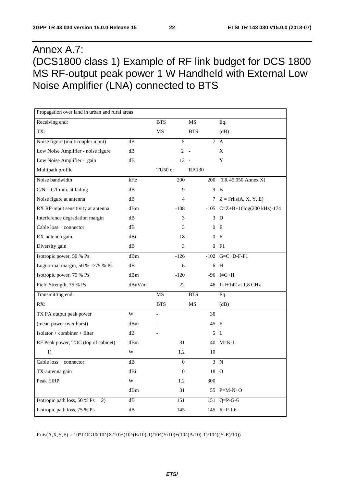## Annex A.7: (DCS1800 class 1) Example of RF link budget for DCS 1800 MS RF-output peak power 1 W Handheld with External Low Noise Amplifier (LNA) connected to BTS

| Propagation over land in urban and rural areas |               |            |                  |              |                                 |
|------------------------------------------------|---------------|------------|------------------|--------------|---------------------------------|
| Receiving end:                                 |               | <b>BTS</b> |                  | <b>MS</b>    | Eq.                             |
| TX:                                            |               | MS         |                  | <b>BTS</b>   | (dB)                            |
| Noise figure (multicoupler input)              | dB            |            | 5                |              | $\tau$<br>$\mathbf{A}$          |
| Low Noise Amplifier - noise figure             | dB            |            | $\overline{2}$   |              | X                               |
| Low Noise Amplifier - gain                     | dB            |            | $12 -$           |              | Y                               |
| Multipath profile                              |               | TU50 or    |                  | <b>RA130</b> |                                 |
| Noise bandwidth                                | kHz           |            | 200              |              | 200 [TR 45.050 Annex X]         |
| $C/N = C/I$ min. at fading                     | dB            |            | 9                |              | 9 B                             |
| Noise figure at antenna                        | dB            |            | 4                |              | 7 $Z = Friis(A, X, Y, E)$       |
| RX RF-input sensitivity at antenna             | dBm           |            | $-108$           |              | $-105$ C=Z+B+10log(200 kHz)-174 |
| Interference degradation margin                | dB            |            | 3                |              | 3<br>D                          |
| Cable $loss + connector$                       | dB            |            | 3                |              | $\overline{0}$<br>E             |
| RX-antenna gain                                | dBi           |            | 18               |              | 0 F                             |
| Diversity gain                                 | dB            |            | 3                |              | 0 F1                            |
| Isotropic power, 50 % Ps                       | dBm           |            | $-126$           |              | $-102$ G=C+D-F-F1               |
| Lognormal margin, 50 % ->75 % Ps               | dB            |            | 6                |              | 6 H                             |
| Isotropic power, 75 % Ps                       | dBm           |            | $-120$           |              | $-96$ I=G+H                     |
| Field Strength, 75 % Ps                        | dBuV/m        |            | 22               |              | 46 J=I+142 at 1.8 GHz           |
| Transmitting end:                              |               | MS         |                  | <b>BTS</b>   | Eq.                             |
| RX:                                            |               | <b>BTS</b> |                  | MS           | (dB)                            |
| TX PA output peak power                        | W             |            |                  | 30           |                                 |
| (mean power over burst)                        | dBm           |            |                  |              | 45 K                            |
| Isolator + combiner + filter                   | dB            |            |                  |              | 5L                              |
| RF Peak power, TOC (top of cabinet)            | dBm           |            | 31               |              | 40 M=K-L                        |
| 1)                                             | W             |            | 1.2              | 10           |                                 |
| Cable $loss + connector$                       | $\mathrm{dB}$ |            | $\boldsymbol{0}$ |              | 3 N                             |
| TX-antenna gain                                | dBi           |            | $\boldsymbol{0}$ |              | 18 O                            |
| Peak EIRP                                      | $\mathbf W$   |            | 1.2              | 300          |                                 |
|                                                | dBm           |            | 31               |              | 55 $P=M-N+O$                    |
| Isotropic path loss, 50 % Ps<br>(2)            | $\mathrm{dB}$ |            | 151              |              | 151 Q=P-G-6                     |
| Isotropic path loss, 75 % Ps                   | ${\rm dB}$    |            | 145              |              | 145 $R = P - I - 6$             |

 $Friis(A, X, Y, E) = 10*LOG10(10^{\circ}(X/10)+(10^{\circ}(E/10)-1)/10^{\circ}(Y/10)+(10^{\circ}(A/10)-1)/10^{\circ}((Y-E)/10))$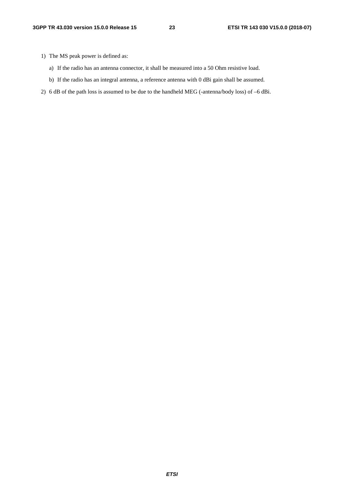- 1) The MS peak power is defined as:
	- a) If the radio has an antenna connector, it shall be measured into a 50 Ohm resistive load.
	- b) If the radio has an integral antenna, a reference antenna with 0 dBi gain shall be assumed.
- 2) 6 dB of the path loss is assumed to be due to the handheld MEG (-antenna/body loss) of –6 dBi.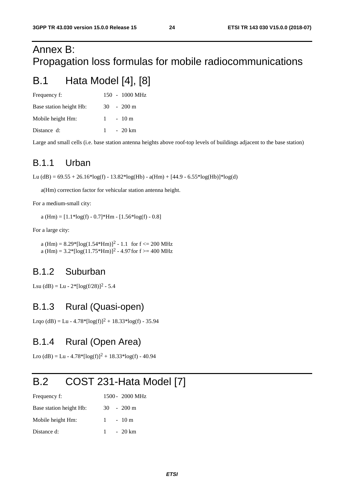## Annex B: Propagation loss formulas for mobile radiocommunications

## B.1 Hata Model [4], [8]

| Frequency f:            |  | $150 - 1000 \text{ MHz}$ |
|-------------------------|--|--------------------------|
| Base station height Hb: |  | $30 - 200$ m             |
| Mobile height Hm:       |  | $1 - 10m$                |
| Distance d:             |  | $1 - 20 \text{ km}$      |

Large and small cells (i.e. base station antenna heights above roof-top levels of buildings adjacent to the base station)

### B.1.1 Urban

Lu (dB) =  $69.55 + 26.16*log(f) - 13.82*log(Hb) - a(Hm) + [44.9 - 6.55*log(Hb)]*log(d)$ 

a(Hm) correction factor for vehicular station antenna height.

For a medium-small city:

a (Hm) =  $[1.1*log(f) - 0.7]*Hm - [1.56*log(f) - 0.8]$ 

For a large city:

a (Hm) =  $8.29*[log(1.54*Hm)]^2 - 1.1$  for  $f \le 200$  MHz a (Hm) =  $3.2$ \*[log(11.75\*Hm)]<sup>2</sup> - 4.97 for f >= 400 MHz

## B.1.2 Suburban

Lsu (dB) = Lu -  $2^*$ [log(f/28)]<sup>2</sup> - 5.4

## B.1.3 Rural (Quasi-open)

Lrqo (dB) = Lu - 4.78\*[ $log(f)^2$  + 18.33\* $log(f)$  - 35.94

## B.1.4 Rural (Open Area)

Lro (dB) = Lu -  $4.78*[log(f)]^2 + 18.33*log(f) - 40.94$ 

## B.2 COST 231-Hata Model [7]

| Frequency f:            |  | 1500 - 2000 MHz     |
|-------------------------|--|---------------------|
| Base station height Hb: |  | $30 - 200$ m        |
| Mobile height Hm:       |  | $1 - 10m$           |
| Distance d:             |  | $1 - 20 \text{ km}$ |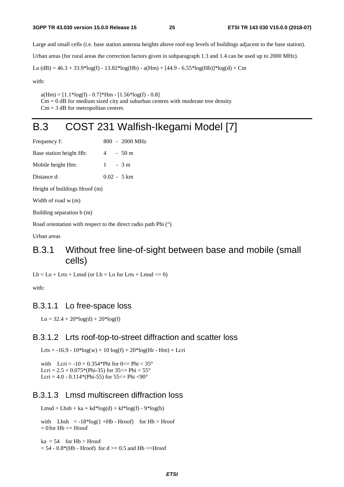Large and small cells (i.e. base station antenna heights above roof-top levels of buildings adjacent to the base station).

Urban areas (for rural areas the correction factors given in subparagraph 1.3 and 1.4 can be used up to 2000 MHz).

Lu (dB) = 46.3 + 33.9\*log(f) - 13.82\*log(Hb) - a(Hm) + [44.9 - 6.55\*log(Hb)]\*log(d) + Cm

with:

 $a(Hm) = [1.1 * log(f) - 0.7] * Hm - [1.56 * log(f) - 0.8]$ 

 $Cm = 0$  dB for medium sized city and suburban centres with moderate tree density

 $Cm = 3$  dB for metropolitan centres

## B.3 COST 231 Walfish-Ikegami Model [7]

| Frequency f:                  |                |  | $800 - 2000 \text{ MHz}$ |  |  |  |
|-------------------------------|----------------|--|--------------------------|--|--|--|
| Base station height Hb:       | $\overline{4}$ |  | $-50m$                   |  |  |  |
| Mobile height Hm:             | $1 - 3m$       |  |                          |  |  |  |
| Distance d:                   |                |  | $0.02 - 5 \text{ km}$    |  |  |  |
| Height of buildings Hroof (m) |                |  |                          |  |  |  |

Width of road w (m)

Building separation b (m)

Road orientation with respect to the direct radio path Phi (°)

Urban areas

### B.3.1 Without free line-of-sight between base and mobile (small cells)

 $Lb = Lo + Lrts + Lmsd$  (or  $Lb = Lo$  for Lrts + Lmsd  $\leq 0$ )

with:

#### B.3.1.1 Lo free-space loss

 $Lo = 32.4 + 20*log(d) + 20*log(f)$ 

#### B.3.1.2 Lrts roof-top-to-street diffraction and scatter loss

Lrts = -16.9 -  $10*log(w) + 10 log(f) + 20*log(Hr - Hm) + Lcri$ 

with  $Lcri = -10 + 0.354*Phi$  for  $0 \leq Phi < 35°$ Lcri =  $2.5 + 0.075$ \*(Phi-35) for 35 <= Phi <  $55^{\circ}$ Lcri =  $4.0 - 0.114*(Phi55)$  for  $55 \leq Phi \leq 90^{\circ}$ 

#### B.3.1.3 Lmsd multiscreen diffraction loss

 $Lmsd = Lbsh + ka + kd * log(d) + kf * log(f) - 9 * log(b)$ 

with  $Lbsh = -18*log(1 + Hb - Hroof)$  for  $Hb > Hroof$  $= 0$  for  $Hb \leq Hroof$ 

 $ka = 54$  for  $Hb > Hroot$  $= 54 - 0.8*(Hb - Hroof)$  for  $d \ge 0.5$  and  $Hb \le Hroof$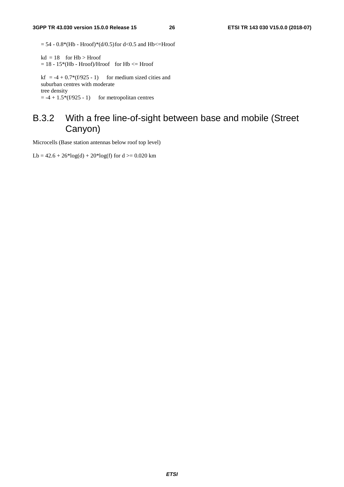$= 54 - 0.8*(Hb - Hroof)*(d/0.5)$  for d<0.5 and Hb<=Hroof

 $kd = 18$  for  $Hb > Hroof$  $= 18 - 15*(Hb - Hroof)/Hroof$  for  $Hb \leq Hroof$ 

kf =  $-4 + 0.7*(f/925 - 1)$  for medium sized cities and suburban centres with moderate tree density  $= -4 + 1.5*(f/925 - 1)$  for metropolitan centres

## B.3.2 With a free line-of-sight between base and mobile (Street Canyon)

Microcells (Base station antennas below roof top level)

Lb =  $42.6 + 26*log(d) + 20*log(f)$  for  $d \ge 0.020$  km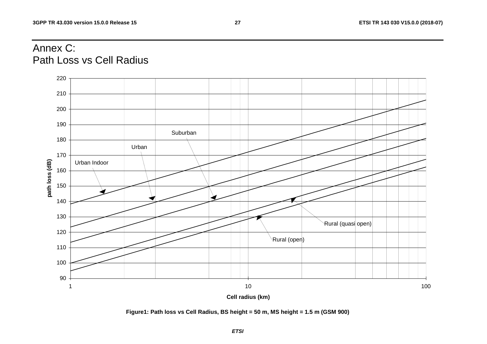## Annex C: Path Loss vs Cell Radius



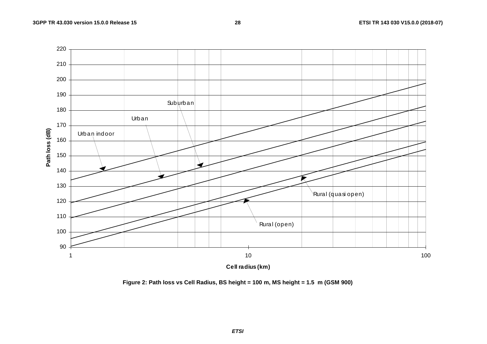

**Figure 2: Path loss vs Cell Radius, BS height = 100 m, MS height = 1.5 m (GSM 900)**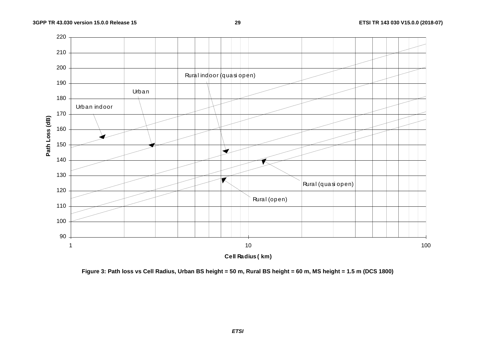

**Figure 3: Path loss vs Cell Radius, Urban BS height = 50 m, Rural BS height = 60 m, MS height = 1.5 m (DCS 1800)** 

*ETSI*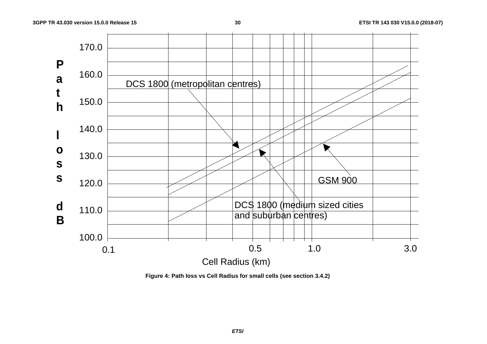

**Figure 4: Path loss vs Cell Radius for small cells (see section 3.4.2)**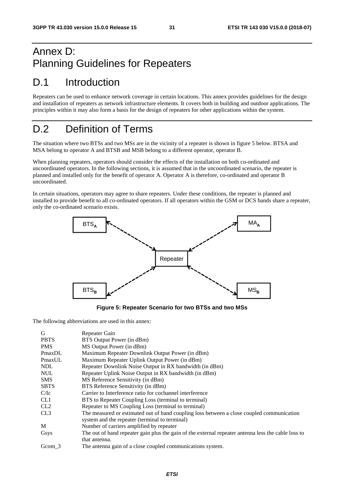## Annex D: Planning Guidelines for Repeaters

## D.1 Introduction

Repeaters can be used to enhance network coverage in certain locations. This annex provides guidelines for the design and installation of repeaters as network infrastructure elements. It covers both in building and outdoor applications. The principles within it may also form a basis for the design of repeaters for other applications within the system.

## D.2 Definition of Terms

The situation where two BTSs and two MSs are in the vicinity of a repeater is shown in figure 5 below. BTSA and MSA belong to operator A and BTSB and MSB belong to a different operator, operator B.

When planning repeaters, operators should consider the effects of the installation on both co-ordinated and uncoordinated operators. In the following sections, it is assumed that in the uncoordinated scenario, the repeater is planned and installed only for the benefit of operator A. Operator A is therefore, co-ordinated and operator B uncoordinated.

In certain situations, operators may agree to share repeaters. Under these conditions, the repeater is planned and installed to provide benefit to all co-ordinated operators. If all operators within the GSM or DCS bands share a repeater, only the co-ordinated scenario exists.



**Figure 5: Repeater Scenario for two BTSs and two MSs** 

The following abbreviations are used in this annex:

| G               | Repeater Gain                                                                                       |
|-----------------|-----------------------------------------------------------------------------------------------------|
| <b>PBTS</b>     | BTS Output Power (in dBm)                                                                           |
| <b>PMS</b>      | MS Output Power (in dBm)                                                                            |
| PmaxDL          | Maximum Repeater Downlink Output Power (in dBm)                                                     |
| PmaxUL          | Maximum Repeater Uplink Output Power (in dBm)                                                       |
| <b>NDL</b>      | Repeater Downlink Noise Output in RX bandwidth (in dBm)                                             |
| <b>NUL</b>      | Repeater Uplink Noise Output in RX bandwidth (in dBm)                                               |
| <b>SMS</b>      | MS Reference Sensitivity (in dBm)                                                                   |
| <b>SBTS</b>     | BTS Reference Sensitivity (in dBm)                                                                  |
| C/Ic            | Carrier to Interference ratio for cochannel interference                                            |
| CL <sub>1</sub> | BTS to Repeater Coupling Loss (terminal to terminal)                                                |
| CL2             | Repeater to MS Coupling Loss (terminal to terminal)                                                 |
| CL <sub>3</sub> | The measured or estimated out of band coupling loss between a close coupled communication           |
|                 | system and the repeater (terminal to terminal)                                                      |
| M               | Number of carriers amplified by repeater                                                            |
| Gsys            | The out of band repeater gain plus the gain of the external repeater antenna less the cable loss to |
|                 | that antenna.                                                                                       |
| Gcom 3          | The antenna gain of a close coupled communications system.                                          |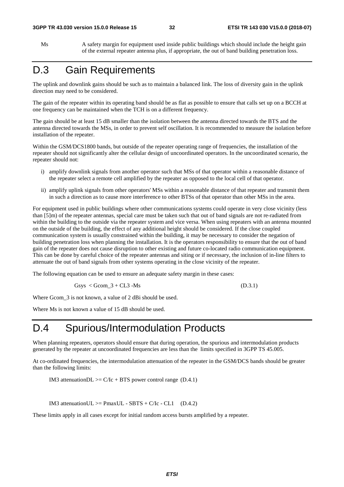Ms A safety margin for equipment used inside public buildings which should include the height gain of the external repeater antenna plus, if appropriate, the out of band building penetration loss.

## D.3 Gain Requirements

The uplink and downlink gains should be such as to maintain a balanced link. The loss of diversity gain in the uplink direction may need to be considered.

The gain of the repeater within its operating band should be as flat as possible to ensure that calls set up on a BCCH at one frequency can be maintained when the TCH is on a different frequency.

The gain should be at least 15 dB smaller than the isolation between the antenna directed towards the BTS and the antenna directed towards the MSs, in order to prevent self oscillation. It is recommended to measure the isolation before installation of the repeater.

Within the GSM/DCS1800 bands, but outside of the repeater operating range of frequencies, the installation of the repeater should not significantly alter the cellular design of uncoordinated operators. In the uncoordinated scenario, the repeater should not:

- i) amplify downlink signals from another operator such that MSs of that operator within a reasonable distance of the repeater select a remote cell amplified by the repeater as opposed to the local cell of that operator.
- ii) amplify uplink signals from other operators' MSs within a reasonable distance of that repeater and transmit them in such a direction as to cause more interference to other BTSs of that operator than other MSs in the area.

For equipment used in public buildings where other communications systems could operate in very close vicinity (less than [5]m) of the repeater antennas, special care must be taken such that out of band signals are not re-radiated from within the building to the outside via the repeater system and vice versa. When using repeaters with an antenna mounted on the outside of the building, the effect of any additional height should be considered. If the close coupled communication system is usually constrained within the building, it may be necessary to consider the negation of building penetration loss when planning the installation. It is the operators responsibility to ensure that the out of band gain of the repeater does not cause disruption to other existing and future co-located radio communication equipment. This can be done by careful choice of the repeater antennas and siting or if necessary, the inclusion of in-line filters to attenuate the out of band signals from other systems operating in the close vicinity of the repeater.

The following equation can be used to ensure an adequate safety margin in these cases:

$$
Gsys < Gcom_3 + CL3 - Ms \tag{D.3.1}
$$

Where Gcom  $\overline{3}$  is not known, a value of 2 dBi should be used.

Where Ms is not known a value of 15 dB should be used.

## D.4 Spurious/Intermodulation Products

When planning repeaters, operators should ensure that during operation, the spurious and intermodulation products generated by the repeater at uncoordinated frequencies are less than the limits specified in 3GPP TS 45.005.

At co-ordinated frequencies, the intermodulation attenuation of the repeater in the GSM/DCS bands should be greater than the following limits:

IM3 attenuationDL  $>= C/Ic + BTS$  power control range (D.4.1)

IM3 attenuationUL  $>=$  PmaxUL - SBTS + C/Ic - CL1 (D.4.2)

These limits apply in all cases except for initial random access bursts amplified by a repeater.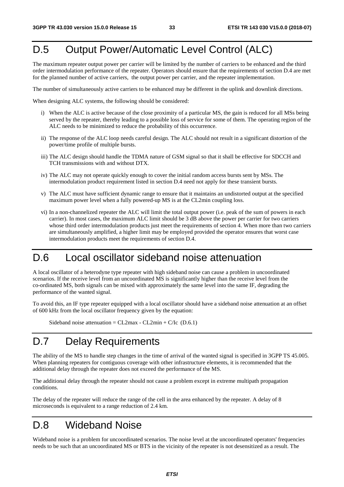## D.5 Output Power/Automatic Level Control (ALC)

The maximum repeater output power per carrier will be limited by the number of carriers to be enhanced and the third order intermodulation performance of the repeater. Operators should ensure that the requirements of section D.4 are met for the planned number of active carriers, the output power per carrier, and the repeater implementation.

The number of simultaneously active carriers to be enhanced may be different in the uplink and downlink directions.

When designing ALC systems, the following should be considered:

- i) When the ALC is active because of the close proximity of a particular MS, the gain is reduced for all MSs being served by the repeater, thereby leading to a possible loss of service for some of them. The operating region of the ALC needs to be minimized to reduce the probability of this occurrence.
- ii) The response of the ALC loop needs careful design. The ALC should not result in a significant distortion of the power/time profile of multiple bursts.
- iii) The ALC design should handle the TDMA nature of GSM signal so that it shall be effective for SDCCH and TCH transmissions with and without DTX.
- iv) The ALC may not operate quickly enough to cover the initial random access bursts sent by MSs. The intermodulation product requirement listed in section D.4 need not apply for these transient bursts.
- v) The ALC must have sufficient dynamic range to ensure that it maintains an undistorted output at the specified maximum power level when a fully powered-up MS is at the CL2min coupling loss.
- vi) In a non-channelized repeater the ALC will limit the total output power (i.e. peak of the sum of powers in each carrier). In most cases, the maximum ALC limit should be 3 dB above the power per carrier for two carriers whose third order intermodulation products just meet the requirements of section 4. When more than two carriers are simultaneously amplified, a higher limit may be employed provided the operator ensures that worst case intermodulation products meet the requirements of section D.4.

## D.6 Local oscillator sideband noise attenuation

A local oscillator of a heterodyne type repeater with high sideband noise can cause a problem in uncoordinated scenarios. If the receive level from an uncoordinated MS is significantly higher than the receive level from the co-ordinated MS, both signals can be mixed with approximately the same level into the same IF, degrading the performance of the wanted signal.

To avoid this, an IF type repeater equipped with a local oscillator should have a sideband noise attenuation at an offset of 600 kHz from the local oscillator frequency given by the equation:

Sideband noise attenuation =  $CL2max - CL2min + C/IC$  (D.6.1)

## D.7 Delay Requirements

The ability of the MS to handle step changes in the time of arrival of the wanted signal is specified in 3GPP TS 45.005. When planning repeaters for contiguous coverage with other infrastructure elements, it is recommended that the additional delay through the repeater does not exceed the performance of the MS.

The additional delay through the repeater should not cause a problem except in extreme multipath propagation conditions.

The delay of the repeater will reduce the range of the cell in the area enhanced by the repeater. A delay of 8 microseconds is equivalent to a range reduction of 2.4 km.

## D.8 Wideband Noise

Wideband noise is a problem for uncoordinated scenarios. The noise level at the uncoordinated operators' frequencies needs to be such that an uncoordinated MS or BTS in the vicinity of the repeater is not desensitized as a result. The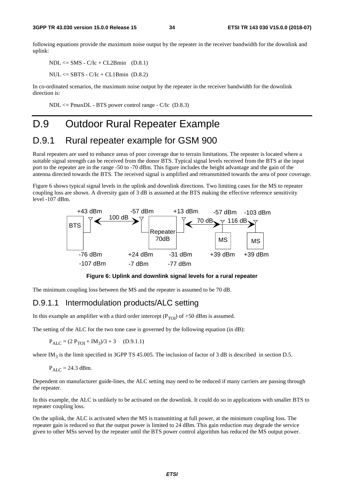following equations provide the maximum noise output by the repeater in the receiver bandwidth for the downlink and uplink:

 $NDL \leq$  SMS - C/Ic + CL2Bmin (D.8.1)

 $NUL \leq SBTS - C/IC + CL1Bmin (D.8.2)$ 

In co-ordinated scenarios, the maximum noise output by the repeater in the receiver bandwidth for the downlink direction is:

 $NDL \leq PmaxDL - BTS$  power control range -  $C/IC$  (D.8.3)

## D.9 Outdoor Rural Repeater Example

### D.9.1 Rural repeater example for GSM 900

Rural repeaters are used to enhance areas of poor coverage due to terrain limitations. The repeater is located where a suitable signal strength can be received from the donor BTS. Typical signal levels received from the BTS at the input port to the repeater are in the range -50 to -70 dBm. This figure includes the height advantage and the gain of the antenna directed towards the BTS. The received signal is amplified and retransmitted towards the area of poor coverage.

Figure 6 shows typical signal levels in the uplink and downlink directions. Two limiting cases for the MS to repeater coupling loss are shown. A diversity gain of 3 dB is assumed at the BTS making the effective reference sensitivity level -107 dBm.



**Figure 6: Uplink and downlink signal levels for a rural repeater** 

The minimum coupling loss between the MS and the repeater is assumed to be 70 dB.

#### D.9.1.1 Intermodulation products/ALC setting

In this example an amplifier with a third order intercept  $(P_{\text{TOI}})$  of +50 dBm is assumed.

The setting of the ALC for the two tone case is governed by the following equation (in dB):

 $P_{AIC} = (2 P_{TOI} + IM_3)/3 + 3$  (D.9.1.1)

where IM<sub>3</sub> is the limit specified in 3GPP TS 45.005. The inclusion of factor of 3 dB is described in section D.5.

$$
P_{ALC} = 24.3
$$
 dBm.

Dependent on manufacturer guide-lines, the ALC setting may need to be reduced if many carriers are passing through the repeater.

In this example, the ALC is unlikely to be activated on the downlink. It could do so in applications with smaller BTS to repeater coupling loss.

On the uplink, the ALC is activated when the MS is transmitting at full power, at the minimum coupling loss. The repeater gain is reduced so that the output power is limited to 24 dBm. This gain reduction may degrade the service given to other MSs served by the repeater until the BTS power control algorithm has reduced the MS output power.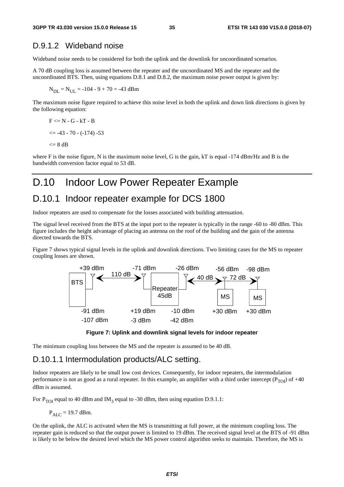#### D.9.1.2 Wideband noise

Wideband noise needs to be considered for both the uplink and the downlink for uncoordinated scenarios.

A 70 dB coupling loss is assumed between the repeater and the uncoordinated MS and the repeater and the uncoordinated BTS. Then, using equations D.8.1 and D.8.2, the maximum noise power output is given by:

 $N_{\text{DL}} = N_{\text{UL}} = -104 - 9 + 70 = -43$  dBm

The maximum noise figure required to achieve this noise level in both the uplink and down link directions is given by the following equation:

$$
F \le N - G - kT - B
$$
  

$$
\le -43 - 70 - (-174) - 53
$$
  

$$
\le 8 dB
$$

where F is the noise figure, N is the maximum noise level, G is the gain, kT is equal -174 dBm/Hz and B is the bandwidth conversion factor equal to 53 dB.

## D.10 Indoor Low Power Repeater Example

### D.10.1 Indoor repeater example for DCS 1800

Indoor repeaters are used to compensate for the losses associated with building attenuation.

The signal level received from the BTS at the input port to the repeater is typically in the range -60 to -80 dBm. This figure includes the height advantage of placing an antenna on the roof of the building and the gain of the antenna directed towards the BTS.

Figure 7 shows typical signal levels in the uplink and downlink directions. Two limiting cases for the MS to repeater coupling losses are shown.





The minimum coupling loss between the MS and the repeater is assumed to be 40 dB.

#### D.10.1.1 Intermodulation products/ALC setting.

Indoor repeaters are likely to be small low cost devices. Consequently, for indoor repeaters, the intermodulation performance is not as good as a rural repeater. In this example, an amplifier with a third order intercept  $(P_{\text{TOI}})$  of +40 dBm is assumed.

For P<sub>TOI</sub> equal to 40 dBm and IM<sub>3</sub> equal to -30 dBm, then using equation D.9.1.1:

 $P_{ALC}$  = 19.7 dBm.

On the uplink, the ALC is activated when the MS is transmitting at full power, at the minimum coupling loss. The repeater gain is reduced so that the output power is limited to 19 dBm. The received signal level at the BTS of -91 dBm is likely to be below the desired level which the MS power control algorithm seeks to maintain. Therefore, the MS is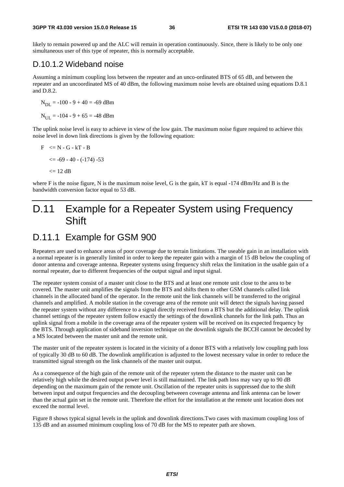likely to remain powered up and the ALC will remain in operation continuously. Since, there is likely to be only one simultaneous user of this type of repeater, this is normally acceptable.

#### D.10.1.2 Wideband noise

Assuming a minimum coupling loss between the repeater and an unco-ordinated BTS of 65 dB, and between the repeater and an uncoordinated MS of 40 dBm, the following maximum noise levels are obtained using equations D.8.1 and D.8.2.

 $N_{\text{DL}} = -100 - 9 + 40 = -69$  dBm  $N_{\text{UL}} = -104 - 9 + 65 = -48$  dBm

The uplink noise level is easy to achieve in view of the low gain. The maximum noise figure required to achieve this noise level in down link directions is given by the following equation:

$$
F \leq N - G - kT - B
$$
  

$$
\leq -69 - 40 - (-174) - 53
$$
  

$$
\leq 12 dB
$$

where F is the noise figure, N is the maximum noise level, G is the gain, kT is equal  $-174$  dBm/Hz and B is the bandwidth conversion factor equal to 53 dB.

## D.11 Example for a Repeater System using Frequency **Shift**

## D.11.1 Example for GSM 900

Repeaters are used to enhance areas of poor coverage due to terrain limitations. The useable gain in an installation with a normal repeater is in generally limited in order to keep the repeater gain with a margin of 15 dB below the coupling of donor antenna and coverage antenna. Repeater systems using frequency shift relax the limitation in the usable gain of a normal repeater, due to different frequencies of the output signal and input signal.

The repeater system consist of a master unit close to the BTS and at least one remote unit close to the area to be covered. The master unit amplifies the signals from the BTS and shifts them to other GSM channels called link channels in the allocated band of the operator. In the remote unit the link channels will be transferred to the original channels and amplified. A mobile station in the coverage area of the remote unit will detect the signals having passed the repeater system without any difference to a signal directly received from a BTS but the additional delay. The uplink channel settings of the repeater system follow exactly the settings of the downlink channels for the link path. Thus an uplink signal from a mobile in the coverage area of the repeater system will be received on its expected frequency by the BTS. Through application of sideband inversion technique on the downlink signals the BCCH cannot be decoded by a MS located between the master unit and the remote unit.

The master unit of the repeater system is located in the vicinity of a donor BTS with a relatively low coupling path loss of typically 30 dB to 60 dB. The downlink amplification is adjusted to the lowest necessary value in order to reduce the transmitted signal strength on the link channels of the master unit output.

As a consequence of the high gain of the remote unit of the repeater sytem the distance to the master unit can be relatively high while the desired output power level is still maintained. The link path loss may vary up to 90 dB depending on the maximum gain of the remote unit. Oscillation of the repeater units is suppressed due to the shift between input and output frequencies and the decoupling betweeen coverage antenna and link antenna can be lower than the actual gain set in the remote unit. Therefore the effort for the installation at the remote unit location does not exceed the normal level.

Figure 8 shows typical signal levels in the uplink and downlink directions.Two cases with maximum coupling loss of 135 dB and an assumed minimum coupling loss of 70 dB for the MS to repeater path are shown.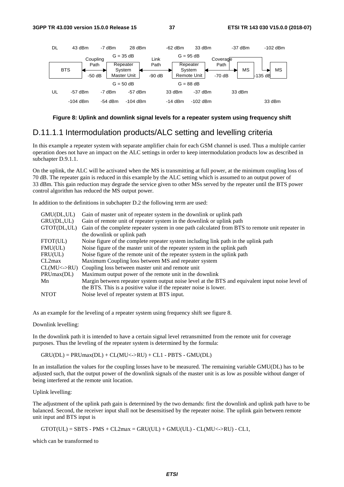

#### **Figure 8: Uplink and downlink signal levels for a repeater system using frequency shift**

#### D.11.1.1 Intermodulation products/ALC setting and levelling criteria

In this example a repeater system with separate amplifier chain for each GSM channel is used. Thus a multiple carrier operation does not have an impact on the ALC settings in order to keep intermodulation products low as described in subchapter D.9.1.1.

On the uplink, the ALC will be activated when the MS is transmitting at full power, at the minimum coupling loss of 70 dB. The repeater gain is reduced in this example by the ALC setting which is assumed to an output power of 33 dBm. This gain reduction may degrade the service given to other MSs served by the repeater until the BTS power control algorithm has reduced the MS output power.

In addition to the definitions in subchapter D.2 the following term are used:

| GMU(DL,UL)  | Gain of master unit of repeater system in the downlink or uplink path                            |  |  |  |  |  |
|-------------|--------------------------------------------------------------------------------------------------|--|--|--|--|--|
| GRU(DL,UL)  | Gain of remote unit of repeater system in the downlink or uplink path                            |  |  |  |  |  |
| GTOT(DL,UL) | Gain of the complete repeater system in one path calculated from BTS to remote unit repeater in  |  |  |  |  |  |
|             | the downlink or uplink path                                                                      |  |  |  |  |  |
| FTOT(UL)    | Noise figure of the complete repeater system including link path in the uplink path              |  |  |  |  |  |
| FMU(UL)     | Noise figure of the master unit of the repeater system in the uplink path                        |  |  |  |  |  |
| FRU(UL)     | Noise figure of the remote unit of the repeater system in the uplink path                        |  |  |  |  |  |
| CL2max      | Maximum Coupling loss between MS and repeater system                                             |  |  |  |  |  |
|             | $CL(MU\langle \text{--}\rangle RU)$ Coupling loss between master unit and remote unit            |  |  |  |  |  |
| PRUmax(DL)  | Maximum output power of the remote unit in the downlink                                          |  |  |  |  |  |
| Mn          | Margin between repeater system output noise level at the BTS and equivalent input noise level of |  |  |  |  |  |
|             | the BTS. This is a positive value if the repeater noise is lower.                                |  |  |  |  |  |
| <b>NTOT</b> | Noise level of repeater system at BTS input.                                                     |  |  |  |  |  |

As an example for the leveling of a repeater system using frequency shift see figure 8.

Downlink levelling:

In the downlink path it is intended to have a certain signal level retransmitted from the remote unit for coverage purposes. Thus the leveling of the repeater system is determined by the formula:

 $GRU(DL) = PRUmax(DL) + CL(MU\leq >RU) + CL1 - PBTS - GMU(DL)$ 

In an installation the values for the coupling losses have to be measured. The remaining variable GMU(DL) has to be adjusted such, that the output power of the downlink signals of the master unit is as low as possible without danger of being interfered at the remote unit location.

Uplink levelling:

The adjustment of the uplink path gain is determined by the two demands: first the downlink and uplink path have to be balanced. Second, the receiver input shall not be desensitised by the repeater noise. The uplink gain between remote unit input and BTS input is

 $GTOT(UL) = SBTS - PMS + CL2max = GRU(UL) + GMU(UL) - CL(MU\leq >RU) - CL1$ ,

which can be transformed to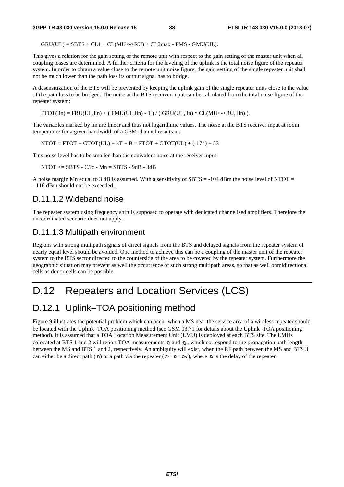$GRU(UL) = SBTS + CL1 + CL(MU\leq >RU) + CL2max - PMS - GMU(UL).$ 

This gives a relation for the gain setting of the remote unit with respect to the gain setting of the master unit when all coupling losses are determined. A further criteria for the leveling of the uplink is the total noise figure of the repeater system. In order to obtain a value close to the remote unit noise figure, the gain setting of the single repeater unit shall not be much lower than the path loss its output signal has to bridge.

A desensitization of the BTS will be prevented by keeping the uplink gain of the single repeater units close to the value of the path loss to be bridged. The noise at the BTS receiver input can be calculated from the total noise figure of the repeater system:

 $FTOT(lin) = FRU(UL,lin) + (FMU(UL,lin) - 1) / (GRU(UL,lin) * CL(MU\leq) - RU, lin)).$ 

The variables marked by lin are linear and thus not logarithmic values. The noise at the BTS receiver input at room temperature for a given bandwidth of a GSM channel results in:

 $NTOT = FTOT + GTOT(UL) + kT + B = FTOT + GTOT(UL) + (-174) + 53$ 

This noise level has to be smaller than the equivalent noise at the receiver input:

NTOT <= SBTS - C/Ic - Mn = SBTS - 9dB - 3dB

A noise margin Mn equal to 3 dB is assumed. With a sensitivity of  $SBTS = -104$  dBm the noise level of NTOT = - 116 dBm should not be exceeded.

#### D.11.1.2 Wideband noise

The repeater system using frequency shift is supposed to operate with dedicated channelised amplifiers. Therefore the uncoordinated scenario does not apply.

#### D.11.1.3 Multipath environment

Regions with strong multipath signals of direct signals from the BTS and delayed signals from the repeater system of nearly equal level should be avoided. One method to achieve this can be a coupling of the master unit of the repeater system to the BTS sector directed to the counterside of the area to be covered by the repeater system. Furthermore the geographic situation may prevent as well the occurrence of such strong multipath areas, so that as well onmidirectional cells as donor cells can be possible.

## D.12 Repeaters and Location Services (LCS)

### D.12.1 Uplink–TOA positioning method

Figure 9 illustrates the potential problem which can occur when a MS near the service area of a wireless repeater should be located with the Uplink−TOA positioning method (see GSM 03.71 for details about the Uplink−TOA positioning method). It is assumed that a TOA Location Measurement Unit (LMU) is deployed at each BTS site. The LMUs colocated at BTS 1 and 2 will report TOA measurements  $\tau_1$  and  $\tau_2$ , which correspond to the propagation path length between the MS and BTS 1 and 2, respectively. An ambiguity will exist, when the RF path between the MS and BTS 3 can either be a direct path ( $\tau_3$ ) or a path via the repeater ( $\tau_R + \tau_d + \tau_{RB}$ ), where  $\tau_d$  is the delay of the repeater.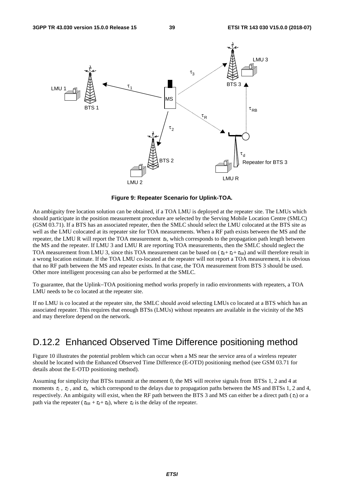

**Figure 9: Repeater Scenario for Uplink-TOA.** 

An ambiguity free location solution can be obtained, if a TOA LMU is deployed at the repeater site. The LMUs which should participate in the position measurement procedure are selected by the Serving Mobile Location Centre (SMLC) (GSM 03.71). If a BTS has an associated repeater, then the SMLC should select the LMU colocated at the BTS site as well as the LMU colocated at its repeater site for TOA measurements. When a RF path exists between the MS and the repeater, the LMU R will report the TOA measurement  $\tau_R$ , which corresponds to the propagation path length between the MS and the repeater. If LMU 3 and LMU R are reporting TOA measurements, then the SMLC should neglect the TOA measurement from LMU 3, since this TOA measurement can be based on  $(\tau_R + \tau_d + \tau_{RB})$  and will therefore result in a wrong location estimate. If the TOA LMU co-located at the repeater will not report a TOA measurement, it is obvious that no RF path between the MS and repeater exists. In that case, the TOA measurement from BTS 3 should be used. Other more intelligent processing can also be performed at the SMLC.

To guarantee, that the Uplink−TOA positioning method works properly in radio environments with repeaters, a TOA LMU needs to be co located at the repeater site.

If no LMU is co located at the repeater site, the SMLC should avoid selecting LMUs co located at a BTS which has an associated repeater. This requires that enough BTSs (LMUs) without repeaters are available in the vicinity of the MS and may therefore depend on the network.

### D.12.2 Enhanced Observed Time Difference positioning method

Figure 10 illustrates the potential problem which can occur when a MS near the service area of a wireless repeater should be located with the Enhanced Observed Time Difference (E-OTD) positioning method (see GSM 03.71 for details about the E-OTD positioning method).

Assuming for simplicity that BTSs transmit at the moment 0, the MS will receive signals from BTSs 1, 2 and 4 at moments <sup>τ</sup>*1* , <sup>τ</sup>*2* , and <sup>τ</sup>*4*, which correspond to the delays due to propagation paths between the MS and BTSs 1, 2 and 4, respectively. An ambiguity will exist, when the RF path between the BTS 3 and MS can either be a direct path (<sup>τ</sup>*3*) or a path via the repeater ( $\tau_{RB} + \tau_d + \tau_R$ ), where  $\tau_d$  is the delay of the repeater.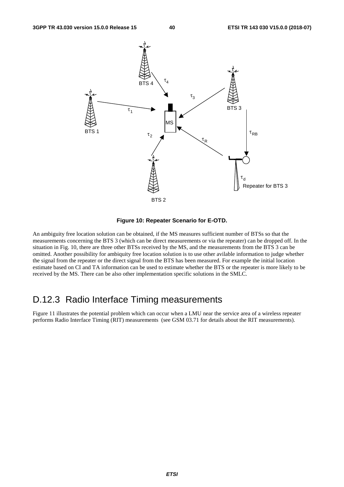

#### **Figure 10: Repeater Scenario for E-OTD.**

An ambiguity free location solution can be obtained, if the MS measures sufficient number of BTSs so that the measurements concerning the BTS 3 (which can be direct measurements or via the repeater) can be dropped off. In the situation in Fig. 10, there are three other BTSs received by the MS, and the measurements from the BTS 3 can be omitted. Another possibility for ambiquity free location solution is to use other avilable information to judge whether the signal from the repeater or the direct signal from the BTS has been measured. For example the initial location estimate based on CI and TA information can be used to estimate whether the BTS or the repeater is more likely to be received by the MS. There can be also other implementation specific solutions in the SMLC.

### D.12.3 Radio Interface Timing measurements

Figure 11 illustrates the potential problem which can occur when a LMU near the service area of a wireless repeater performs Radio Interface Timing (RIT) measurements (see GSM 03.71 for details about the RIT measurements).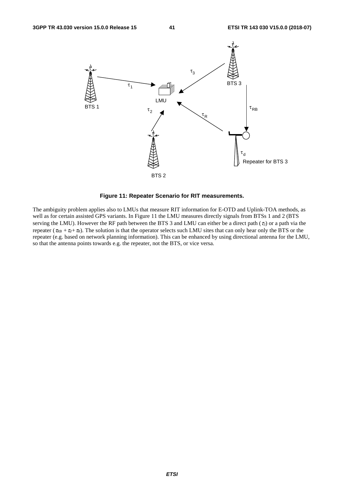

**Figure 11: Repeater Scenario for RIT measurements.** 

The ambiguity problem applies also to LMUs that measure RIT information for E-OTD and Uplink-TOA methods, as well as for certain assisted GPS variants. In Figure 11 the LMU measures directly signals from BTSs 1 and 2 (BTS serving the LMU). However the RF path between the BTS 3 and LMU can either be a direct path (<sup>τ</sup>*3*) or a path via the repeater ( $\tau_{RB} + \tau_q + \tau_R$ ). The solution is that the operator selects such LMU sites that can only hear only the BTS or the repeater (e.g. based on network planning information). This can be enhanced by using directional antenna for the LMU, so that the antenna points towards e.g. the repeater, not the BTS, or vice versa.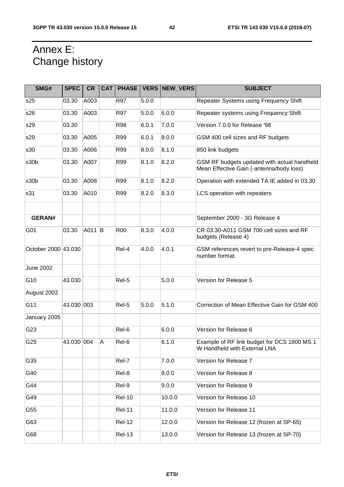## Annex E: Change history

| SMG#                | <b>SPEC</b> | <b>CR</b> |   |               |       | CAT   PHASE   VERS   NEW VERS | <b>SUBJECT</b>                                                                          |
|---------------------|-------------|-----------|---|---------------|-------|-------------------------------|-----------------------------------------------------------------------------------------|
| s25                 | 03.30       | A003      |   | <b>R97</b>    | 5.0.0 |                               | Repeater Systems using Frequency Shift                                                  |
| s26                 | 03.30       | A003      |   | R97           | 5.0.0 | 6.0.0                         | Repeater systems using Frequency Shift                                                  |
| s29                 | 03.30       |           |   | <b>R98</b>    | 6.0.1 | 7.0.0                         | Version 7.0.0 for Release '98                                                           |
| s29                 | 03.30       | A005      |   | R99           | 6.0.1 | 8.0.0                         | GSM 400 cell sizes and RF budgets                                                       |
| s30                 | 03.30       | A006      |   | R99           | 8.0.0 | 8.1.0                         | 850 link budgets                                                                        |
| s30b                | 03.30       | A007      |   | R99           | 8.1.0 | 8.2.0                         | GSM RF budgets updated with actual handheld<br>Mean Effective Gain (-antenna/body loss) |
| s30 <sub>b</sub>    | 03.30       | A008      |   | R99           | 8.1.0 | 8.2.0                         | Operation with extended TA IE added in 03.30                                            |
| s31                 | 03.30       | A010      |   | R99           | 8.2.0 | 8.3.0                         | LCS operation with repeaters                                                            |
|                     |             |           |   |               |       |                               |                                                                                         |
| <b>GERAN#</b>       |             |           |   |               |       |                               | September 2000 - 3G Release 4                                                           |
| G01                 | 03.30       | A011 B    |   | <b>R00</b>    | 8.3.0 | 4.0.0                         | CR 03.30-A011 GSM 700 cell sizes and RF<br>budgets (Release 4)                          |
| October 2000 43.030 |             |           |   | Rel-4         | 4.0.0 | 4.0.1                         | GSM references revert to pre-Release-4 spec<br>number format.                           |
| <b>June 2002</b>    |             |           |   |               |       |                               |                                                                                         |
| G10                 | 43.030      |           |   | Rel-5         |       | 5.0.0                         | Version for Release 5                                                                   |
| August 2002         |             |           |   |               |       |                               |                                                                                         |
| G11                 | 43.030 003  |           |   | Rel-5         | 5.0.0 | 5.1.0                         | Correction of Mean Effective Gain for GSM 400                                           |
| January 2005        |             |           |   |               |       |                               |                                                                                         |
| G23                 |             |           |   | Rel-6         |       | 6.0.0                         | Version for Release 6                                                                   |
| G25                 | 43.030 004  |           | A | Rel-6         |       | 6.1.0                         | Example of RF link budget for DCS 1800 MS 1<br>W Handheld with External LNA             |
| G35                 |             |           |   | Rel-7         |       | 7.0.0                         | Version for Release 7                                                                   |
| G40                 |             |           |   | Rel-8         |       | 8.0.0                         | Version for Release 8                                                                   |
| G44                 |             |           |   | Rel-9         |       | 9.0.0                         | Version for Release 9                                                                   |
| G49                 |             |           |   | <b>Rel-10</b> |       | 10.0.0                        | Version for Release 10                                                                  |
| G55                 |             |           |   | <b>Rel-11</b> |       | 11.0.0                        | Version for Release 11                                                                  |
| G63                 |             |           |   | <b>Rel-12</b> |       | 12.0.0                        | Version for Release 12 (frozen at SP-65)                                                |
| G68                 |             |           |   | <b>Rel-13</b> |       | 13.0.0                        | Version for Release 13 (frozen at SP-70)                                                |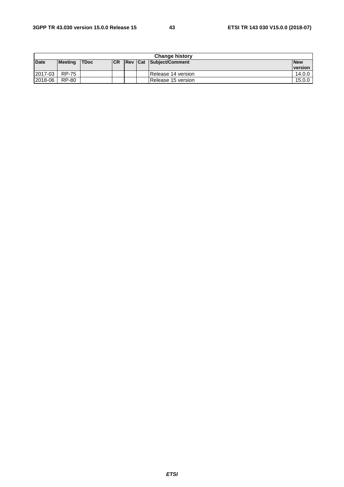|             | <b>Change history</b> |             |            |  |  |                         |            |  |
|-------------|-----------------------|-------------|------------|--|--|-------------------------|------------|--|
| <b>Date</b> | Meeting               | <b>TDoc</b> | <b>ICR</b> |  |  | Rev Cat Subject/Comment | <b>New</b> |  |
|             |                       |             |            |  |  |                         | version    |  |
| 2017-03     | <b>RP-75</b>          |             |            |  |  | Release 14 version      | 14.0.0     |  |
| 2018-06     | <b>RP-80</b>          |             |            |  |  | Release 15 version      | 15.0.0     |  |